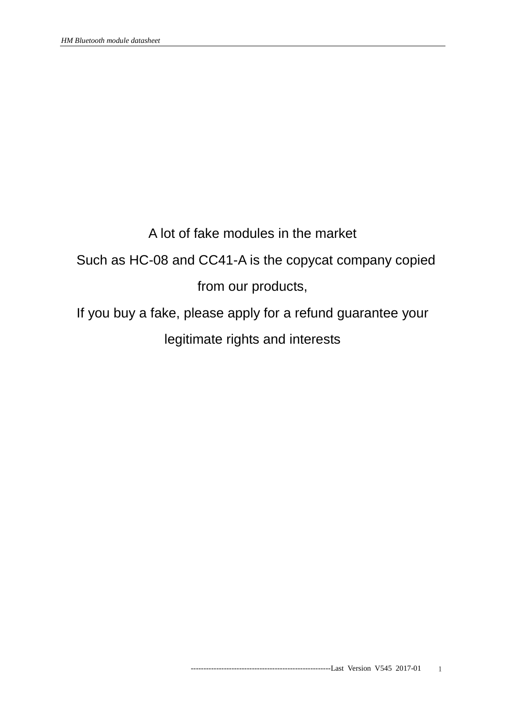A lot of fake modules in the market

Such as HC-08 and CC41-A is the copycat company copied

from our products,

If you buy a fake, please apply for a refund guarantee your legitimate rights and interests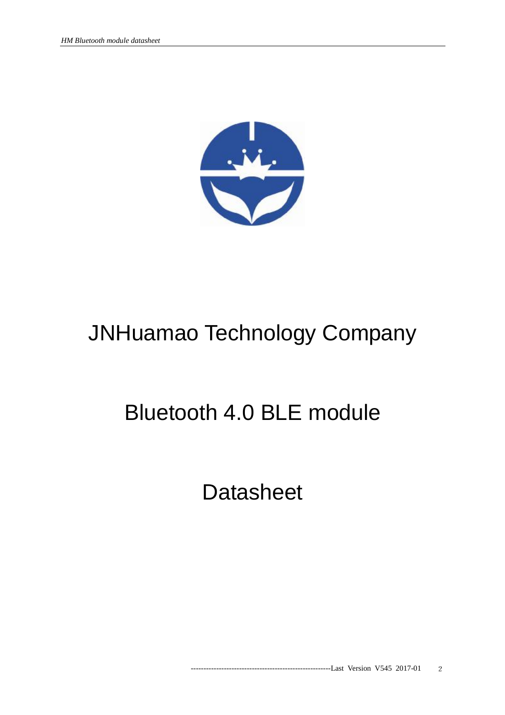

# JNHuamao Technology Company

# Bluetooth 4.0 BLE module

**Datasheet**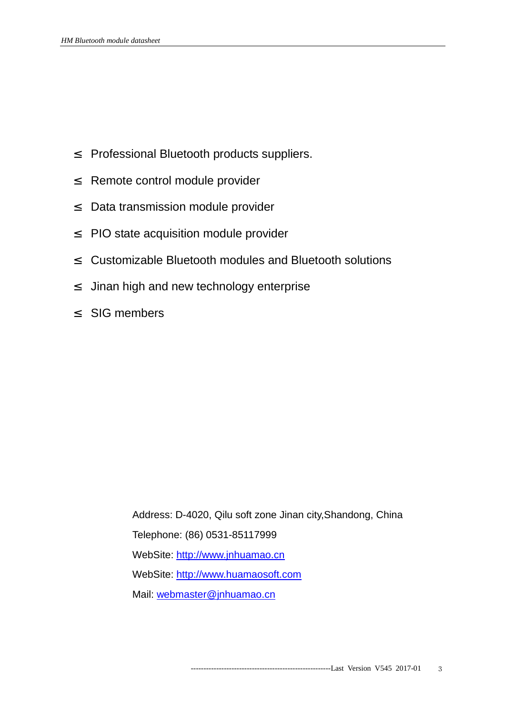- <sup>2</sup> Professional Bluetooth products suppliers.
- <sup>2</sup> Remote control module provider
- <sup>2</sup> Data transmission module provider
- ² PIO state acquisition module provider
- ² Customizable Bluetooth modules and Bluetooth solutions
- <sup>2</sup> Jinan high and new technology enterprise
- ² SIG members

Address: D-4020, Qilu soft zone Jinan city,Shandong, China Telephone: (86) 0531-85117999 WebSite: <http://www.jnhuamao.cn> WebSite: <http://www.huamaosoft.com> Mail: [webmaster@jnhuamao.cn](mailto:webmaster@jnhuamao.cn)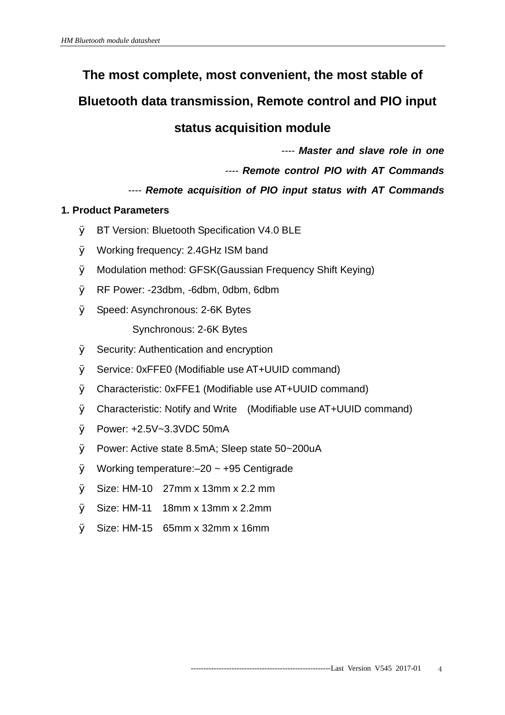# **The most complete, most convenient, the most stable of**

# **Bluetooth data transmission, Remote control and PIO input**

## **status acquisition module**

*---- Master and slave role in one* 

*---- Remote control PIO with AT Commands* 

## *---- Remote acquisition of PIO input status with AT Commands*

#### **1. Product Parameters**

- Ø BT Version: Bluetooth Specification V4.0 BLE
- Ø Working frequency: 2.4GHz ISM band
- Ø Modulation method: GFSK(Gaussian Frequency Shift Keying)
- Ø RF Power: -23dbm, -6dbm, 0dbm, 6dbm
- Ø Speed: Asynchronous: 2-6K Bytes

Synchronous: 2-6K Bytes

- Ø Security: Authentication and encryption
- Ø Service: 0xFFE0 (Modifiable use AT+UUID command)
- Ø Characteristic: 0xFFE1 (Modifiable use AT+UUID command)
- Ø Characteristic: Notify and Write (Modifiable use AT+UUID command)
- Ø Power: +2.5V~3.3VDC 50mA
- Ø Power: Active state 8.5mA; Sleep state 50~200uA
- $\emptyset$  Working temperature: -20 ~ +95 Centigrade
- Ø Size: HM-10 27mm x 13mm x 2.2 mm
- $\varnothing$  Size: HM-11 18mm x 13mm x 2.2mm
- $\varnothing$  Size: HM-15 65mm x 32mm x 16mm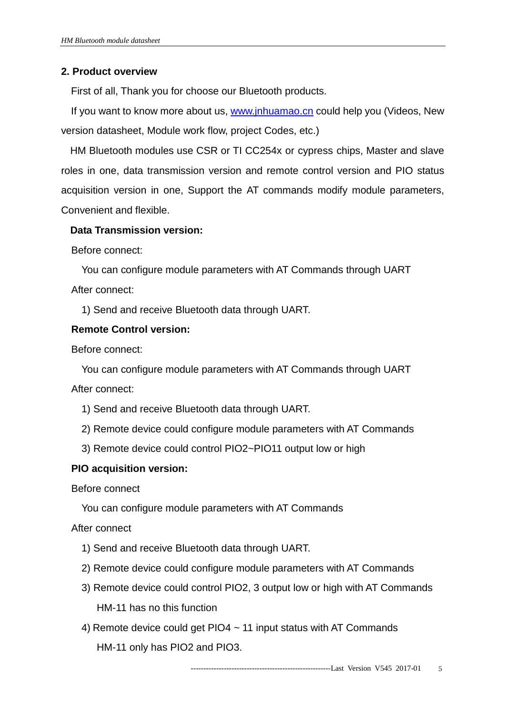### **2. Product overview**

First of all, Thank you for choose our Bluetooth products.

If you want to know more about us, [www.jnhuamao.cn](http://www.jnhuamao.cn) could help you (Videos, New version datasheet, Module work flow, project Codes, etc.)

HM Bluetooth modules use CSR or TI CC254x or cypress chips, Master and slave roles in one, data transmission version and remote control version and PIO status acquisition version in one, Support the AT commands modify module parameters, Convenient and flexible.

## **Data Transmission version:**

Before connect:

You can configure module parameters with AT Commands through UART After connect:

1) Send and receive Bluetooth data through UART.

## **Remote Control version:**

Before connect:

You can configure module parameters with AT Commands through UART

After connect:

- 1) Send and receive Bluetooth data through UART.
- 2) Remote device could configure module parameters with AT Commands
- 3) Remote device could control PIO2~PIO11 output low or high

## **PIO acquisition version:**

Before connect

You can configure module parameters with AT Commands

After connect

- 1) Send and receive Bluetooth data through UART.
- 2) Remote device could configure module parameters with AT Commands
- 3) Remote device could control PIO2, 3 output low or high with AT Commands HM-11 has no this function
- 4) Remote device could get PIO4 ~ 11 input status with AT Commands HM-11 only has PIO2 and PIO3.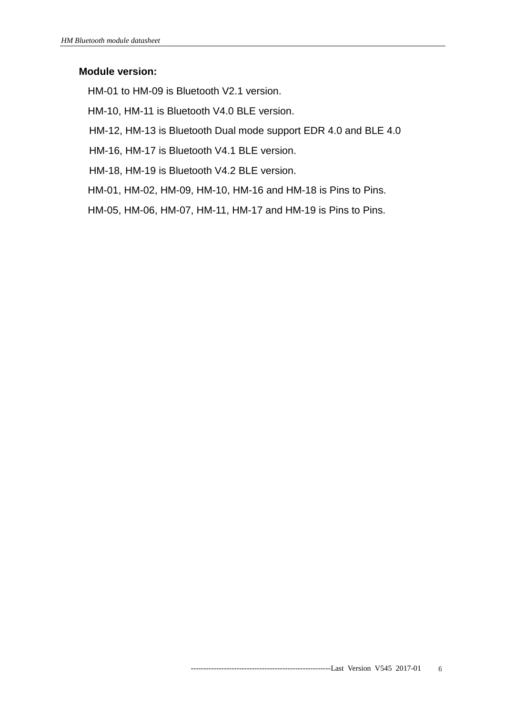#### **Module version:**

HM-01 to HM-09 is Bluetooth V2.1 version.

HM-10, HM-11 is Bluetooth V4.0 BLE version.

HM-12, HM-13 is Bluetooth Dual mode support EDR 4.0 and BLE 4.0

HM-16, HM-17 is Bluetooth V4.1 BLE version.

HM-18, HM-19 is Bluetooth V4.2 BLE version.

HM-01, HM-02, HM-09, HM-10, HM-16 and HM-18 is Pins to Pins.

HM-05, HM-06, HM-07, HM-11, HM-17 and HM-19 is Pins to Pins.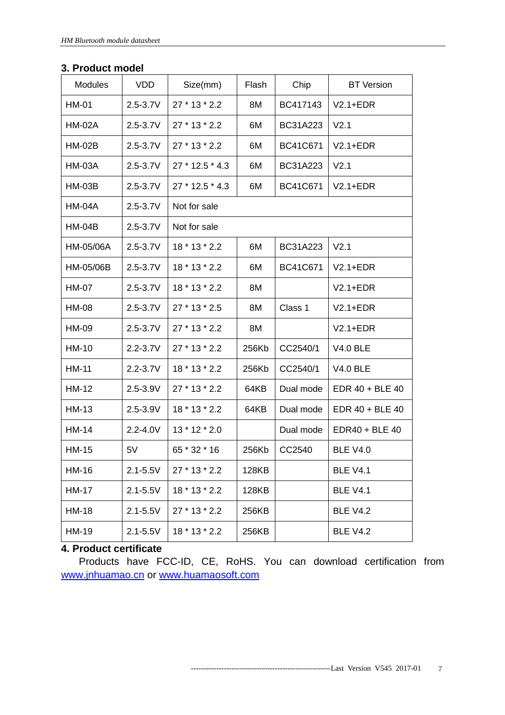## **3. Product model**

| <b>Modules</b> | <b>VDD</b>   | Size(mm)        | Flash | Chip      | <b>BT</b> Version |
|----------------|--------------|-----------------|-------|-----------|-------------------|
| <b>HM-01</b>   | $2.5 - 3.7V$ | 27 * 13 * 2.2   | 8M    | BC417143  | $V2.1 + EDR$      |
| <b>HM-02A</b>  | $2.5 - 3.7V$ | 27 * 13 * 2.2   | 6M    | BC31A223  | V <sub>2.1</sub>  |
| <b>HM-02B</b>  | $2.5 - 3.7V$ | 27 * 13 * 2.2   | 6M    | BC41C671  | $V2.1 + EDR$      |
| <b>HM-03A</b>  | $2.5 - 3.7V$ | 27 * 12.5 * 4.3 | 6M    | BC31A223  | V <sub>2.1</sub>  |
| <b>HM-03B</b>  | $2.5 - 3.7V$ | 27 * 12.5 * 4.3 | 6M    | BC41C671  | $V2.1 + EDR$      |
| <b>HM-04A</b>  | $2.5 - 3.7V$ | Not for sale    |       |           |                   |
| $HM-04B$       | $2.5 - 3.7V$ | Not for sale    |       |           |                   |
| HM-05/06A      | $2.5 - 3.7V$ | 18 * 13 * 2.2   | 6M    | BC31A223  | V <sub>2.1</sub>  |
| HM-05/06B      | $2.5 - 3.7V$ | 18 * 13 * 2.2   | 6M    | BC41C671  | $V2.1 + EDR$      |
| <b>HM-07</b>   | $2.5 - 3.7V$ | 18 * 13 * 2.2   | 8M    |           | $V2.1 + EDR$      |
| HM-08          | $2.5 - 3.7V$ | 27 * 13 * 2.5   | 8M    | Class 1   | $V2.1 + EDR$      |
| HM-09          | $2.5 - 3.7V$ | 27 * 13 * 2.2   | 8M    |           | $V2.1 + EDR$      |
| <b>HM-10</b>   | $2.2 - 3.7V$ | 27 * 13 * 2.2   | 256Kb | CC2540/1  | <b>V4.0 BLE</b>   |
| <b>HM-11</b>   | $2.2 - 3.7V$ | 18 * 13 * 2.2   | 256Kb | CC2540/1  | <b>V4.0 BLE</b>   |
| <b>HM-12</b>   | 2.5-3.9V     | 27 * 13 * 2.2   | 64KB  | Dual mode | EDR 40 + BLE 40   |
| <b>HM-13</b>   | 2.5-3.9V     | 18 * 13 * 2.2   | 64KB  | Dual mode | EDR 40 + BLE 40   |
| <b>HM-14</b>   | $2.2 - 4.0V$ | $13 * 12 * 2.0$ |       | Dual mode | EDR40 + BLE 40    |
| <b>HM-15</b>   | 5V           | 65 * 32 * 16    | 256Kb | CC2540    | <b>BLE V4.0</b>   |
| HM-16          | $2.1 - 5.5V$ | 27 * 13 * 2.2   | 128KB |           | <b>BLE V4.1</b>   |
| <b>HM-17</b>   | $2.1 - 5.5V$ | 18 * 13 * 2.2   | 128KB |           | <b>BLE V4.1</b>   |
| <b>HM-18</b>   | $2.1 - 5.5V$ | 27 * 13 * 2.2   | 256KB |           | <b>BLE V4.2</b>   |
| HM-19          | $2.1 - 5.5V$ | $18 * 13 * 2.2$ | 256KB |           | <b>BLE V4.2</b>   |

#### **4. Product certificate**

Products have FCC-ID, CE, RoHS. You can download certification from [www.jnhuamao.cn](http://www.jnhuamao.cn) or [www.huamaosoft.com](http://www.huamaosoft.com)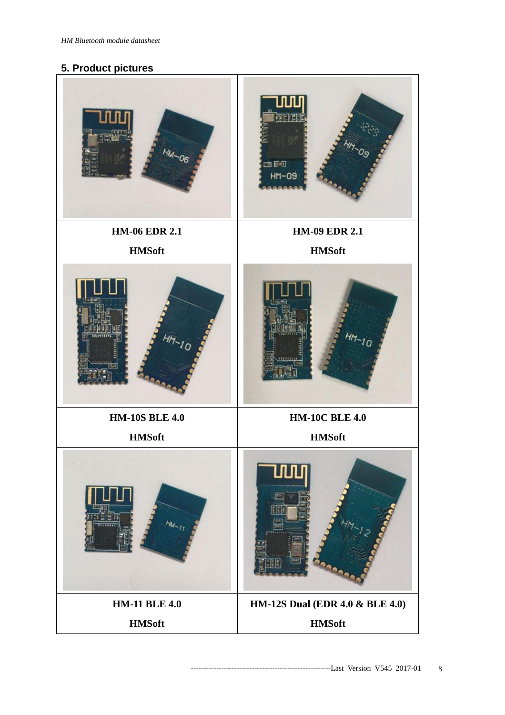## **5. Product pictures**

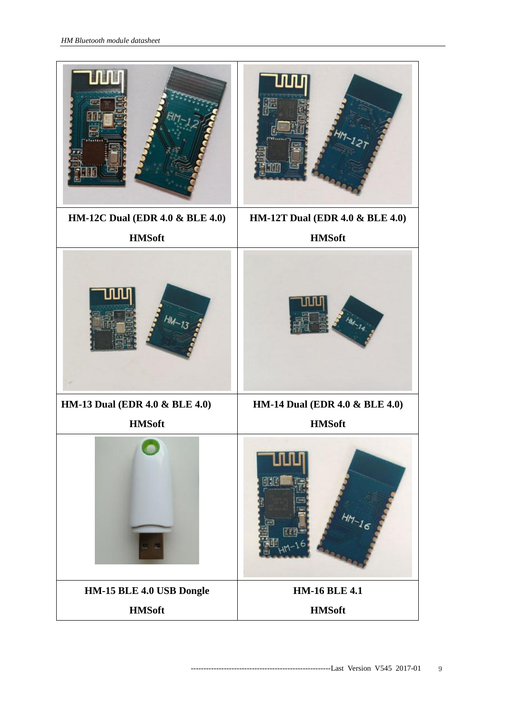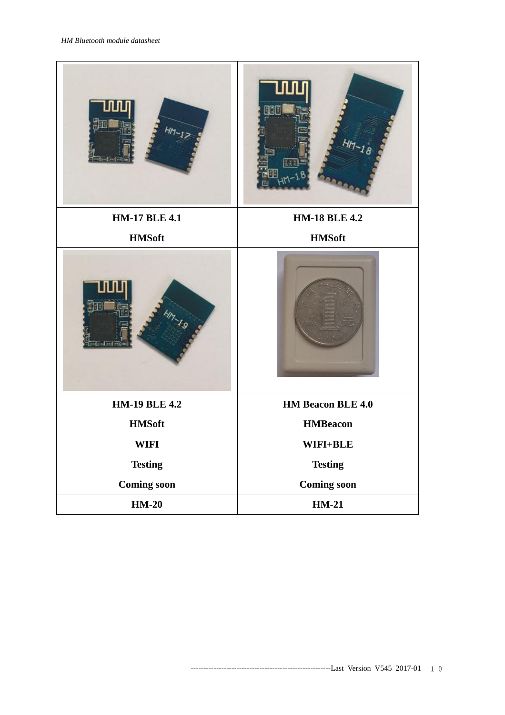| $10 - 12$            | யா                   |
|----------------------|----------------------|
| <b>HM-17 BLE 4.1</b> | <b>HM-18 BLE 4.2</b> |
| <b>HMSoft</b>        | <b>HMSoft</b>        |
| மா                   |                      |
| <b>HM-19 BLE 4.2</b> | HM Beacon BLE 4.0    |
| <b>HMSoft</b>        | <b>HMBeacon</b>      |
| WIFI                 | WIFI+BLE             |
| <b>Testing</b>       | <b>Testing</b>       |
| <b>Coming soon</b>   | <b>Coming soon</b>   |
| $HM-20$              | $HM-21$              |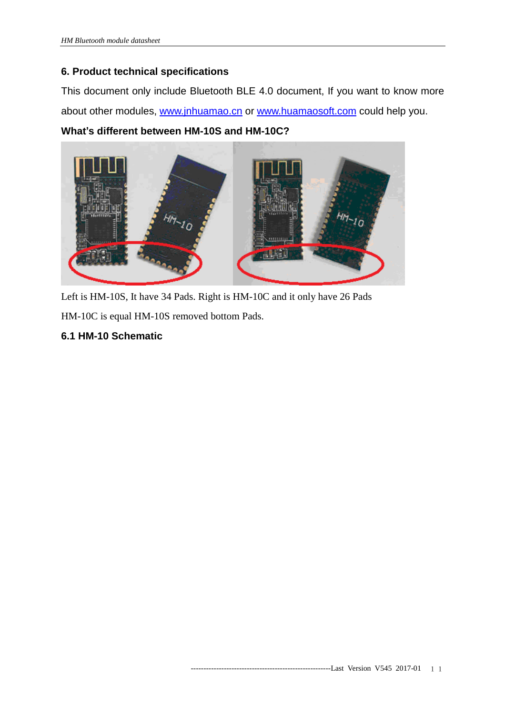### **6. Product technical specifications**

This document only include Bluetooth BLE 4.0 document, If you want to know more about other modules, [www.jnhuamao.cn](http://www.jnhuamao.cn) or [www.huamaosoft.com](http://www.huamaosoft.com) could help you.

## **What's different between HM-10S and HM-10C?**



Left is HM-10S, It have 34 Pads. Right is HM-10C and it only have 26 Pads

HM-10C is equal HM-10S removed bottom Pads.

**6.1 HM-10 Schematic**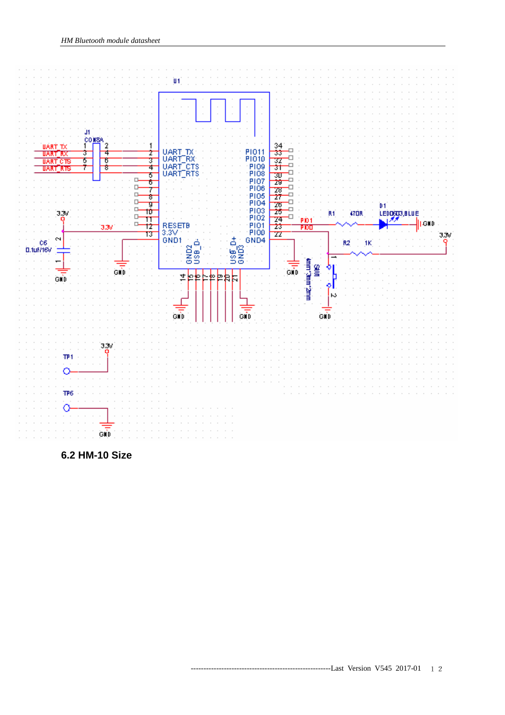

**6.2 HM-10 Size**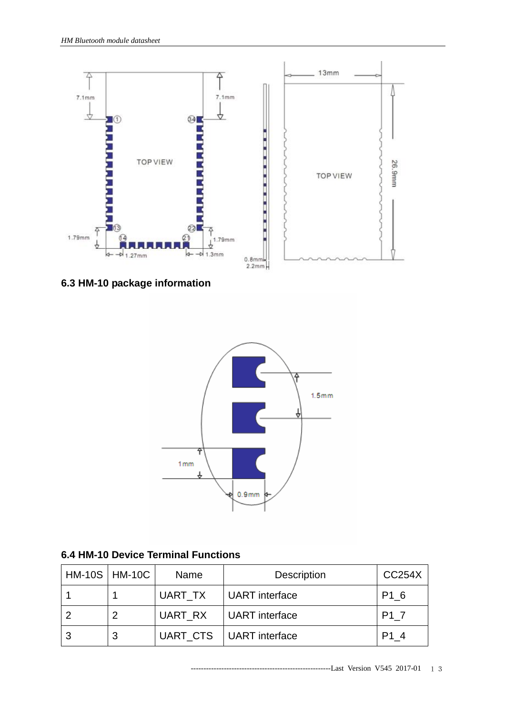

**6.3 HM-10 package information** 



**6.4 HM-10 Device Terminal Functions** 

| $HM-10S$   $HM-10C$ | Name    | <b>Description</b>        | <b>CC254X</b>    |
|---------------------|---------|---------------------------|------------------|
|                     | UART TX | UART interface            | P1 6             |
|                     | UART RX | UART interface            | P <sub>1</sub> 7 |
|                     |         | UART CTS   UART interface | P1 4             |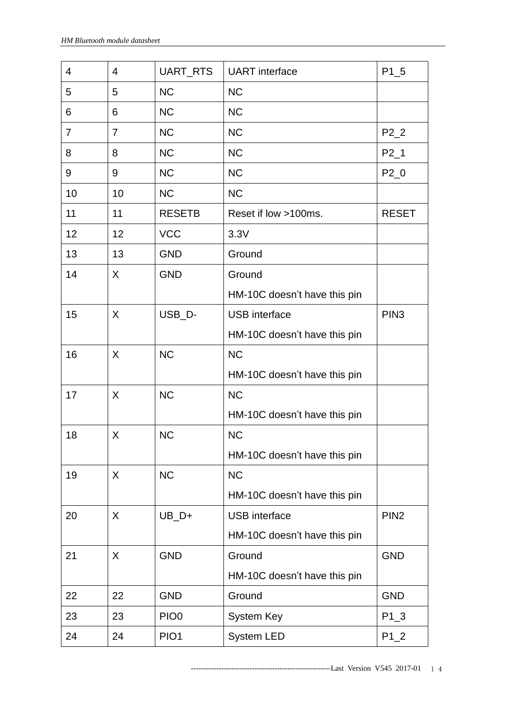| $\overline{4}$ | 4              | UART_RTS         | <b>UART</b> interface        | $P1_5$           |
|----------------|----------------|------------------|------------------------------|------------------|
| 5              | 5              | <b>NC</b>        | <b>NC</b>                    |                  |
| 6              | 6              | <b>NC</b>        | <b>NC</b>                    |                  |
| $\overline{7}$ | $\overline{7}$ | <b>NC</b>        | <b>NC</b>                    | $P2_2$           |
| 8              | 8              | <b>NC</b>        | <b>NC</b>                    | $P2_1$           |
| 9              | 9              | <b>NC</b>        | <b>NC</b>                    | $P2_0$           |
| 10             | 10             | <b>NC</b>        | <b>NC</b>                    |                  |
| 11             | 11             | <b>RESETB</b>    | Reset if low >100ms.         | <b>RESET</b>     |
| 12             | 12             | <b>VCC</b>       | 3.3V                         |                  |
| 13             | 13             | <b>GND</b>       | Ground                       |                  |
| 14             | X              | <b>GND</b>       | Ground                       |                  |
|                |                |                  | HM-10C doesn't have this pin |                  |
| 15             | X              | USB_D-           | <b>USB</b> interface         | PIN <sub>3</sub> |
|                |                |                  | HM-10C doesn't have this pin |                  |
| 16             | X              | <b>NC</b>        | <b>NC</b>                    |                  |
|                |                |                  | HM-10C doesn't have this pin |                  |
| 17             | X              | <b>NC</b>        | <b>NC</b>                    |                  |
|                |                |                  | HM-10C doesn't have this pin |                  |
| 18             | X              | <b>NC</b>        | <b>NC</b>                    |                  |
|                |                |                  | HM-10C doesn't have this pin |                  |
| 19             | X              | <b>NC</b>        | <b>NC</b>                    |                  |
|                |                |                  | HM-10C doesn't have this pin |                  |
| 20             | X              | $UB_D+$          | <b>USB</b> interface         | PIN <sub>2</sub> |
|                |                |                  | HM-10C doesn't have this pin |                  |
| 21             | X              | <b>GND</b>       | Ground                       | <b>GND</b>       |
|                |                |                  | HM-10C doesn't have this pin |                  |
| 22             | 22             | <b>GND</b>       | Ground                       | <b>GND</b>       |
| 23             | 23             | PIO <sub>0</sub> | System Key                   | $P1_3$           |
| 24             | 24             | PIO1             | System LED                   | $P1_2$           |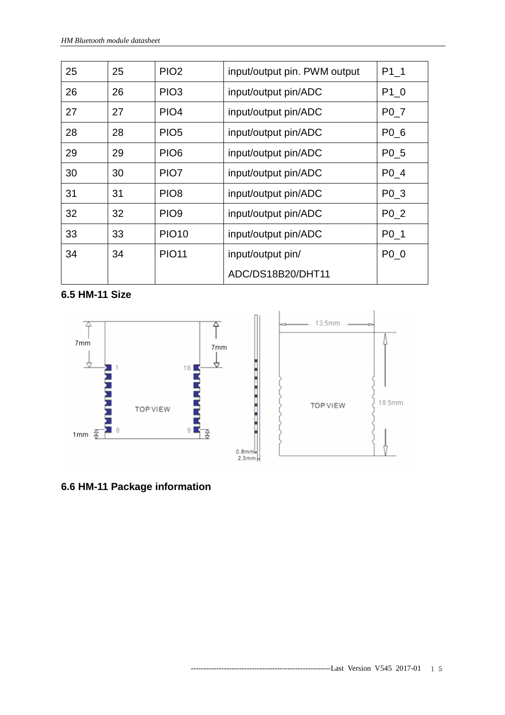| 25 | 25 | PIO <sub>2</sub> | input/output pin. PWM output | P1 1             |
|----|----|------------------|------------------------------|------------------|
| 26 | 26 | PIO <sub>3</sub> | input/output pin/ADC         | P1 0             |
| 27 | 27 | PIO <sub>4</sub> | input/output pin/ADC         | $P0-7$           |
| 28 | 28 | PIO <sub>5</sub> | input/output pin/ADC         | P0 6             |
| 29 | 29 | PIO <sub>6</sub> | input/output pin/ADC         | P <sub>0</sub> 5 |
| 30 | 30 | PIO <sub>7</sub> | input/output pin/ADC         | P0 4             |
| 31 | 31 | PIO <sub>8</sub> | input/output pin/ADC         | P0 3             |
| 32 | 32 | PIO <sub>9</sub> | input/output pin/ADC         | P <sub>0</sub> 2 |
| 33 | 33 | <b>PIO10</b>     | input/output pin/ADC         | P <sub>0</sub> 1 |
| 34 | 34 | <b>PIO11</b>     | input/output pin/            | P0 0             |
|    |    |                  | ADC/DS18B20/DHT11            |                  |

**6.5 HM-11 Size** 



# **6.6 HM-11 Package information**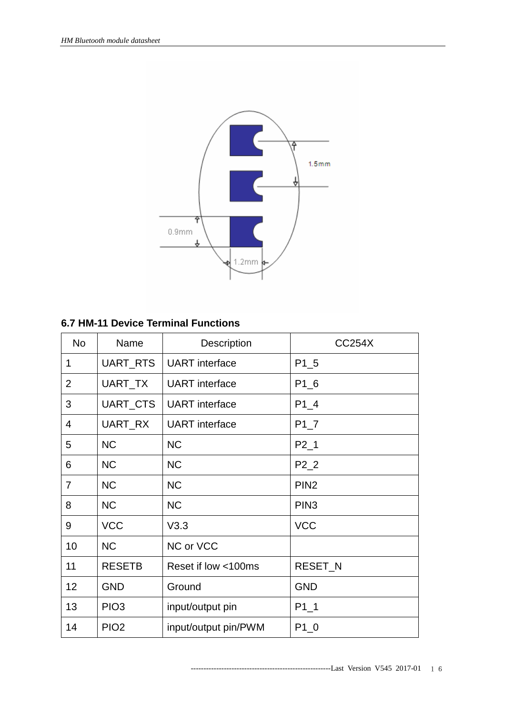

## **6.7 HM-11 Device Terminal Functions**

| <b>No</b>      | Name             | Description           | <b>CC254X</b>    |
|----------------|------------------|-----------------------|------------------|
| 1              | UART_RTS         | <b>UART</b> interface | $P1_5$           |
| $\overline{2}$ | UART_TX          | <b>UART</b> interface | $P1_6$           |
| 3              | UART_CTS         | <b>UART</b> interface | $P1_4$           |
| $\overline{4}$ | UART_RX          | <b>UART</b> interface | $P1_7$           |
| 5              | <b>NC</b>        | <b>NC</b>             | $P2_1$           |
| 6              | <b>NC</b>        | <b>NC</b>             | $P2_2$           |
| 7              | <b>NC</b>        | <b>NC</b>             | PIN <sub>2</sub> |
| 8              | <b>NC</b>        | <b>NC</b>             | PIN <sub>3</sub> |
| 9              | <b>VCC</b>       | V3.3                  | <b>VCC</b>       |
| 10             | <b>NC</b>        | NC or VCC             |                  |
| 11             | <b>RESETB</b>    | Reset if low <100ms   | RESET_N          |
| 12             | <b>GND</b>       | Ground                | <b>GND</b>       |
| 13             | PIO <sub>3</sub> | input/output pin      | $P1_1$           |
| 14             | PIO <sub>2</sub> | input/output pin/PWM  | $P1_0$           |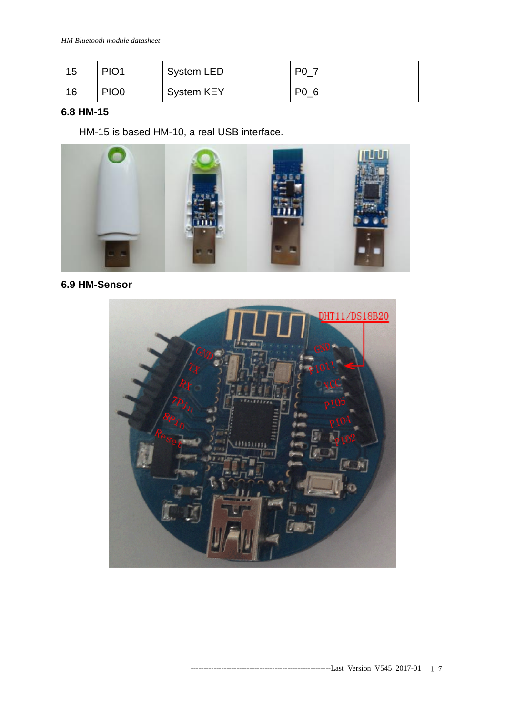| 15 | PIO <sub>1</sub> | <b>System LED</b> | P <sub>0</sub> |
|----|------------------|-------------------|----------------|
| 16 | PIO <sub>0</sub> | <b>System KEY</b> | P0 6           |

## **6.8 HM-15**

HM-15 is based HM-10, a real USB interface.



**6.9 HM-Sensor** 

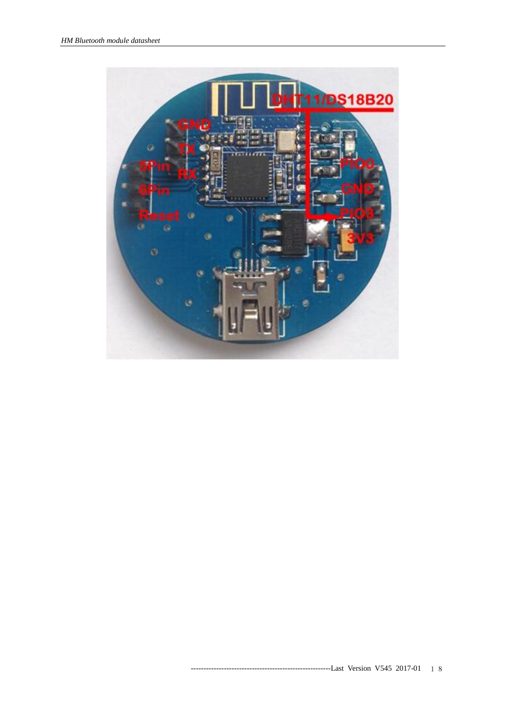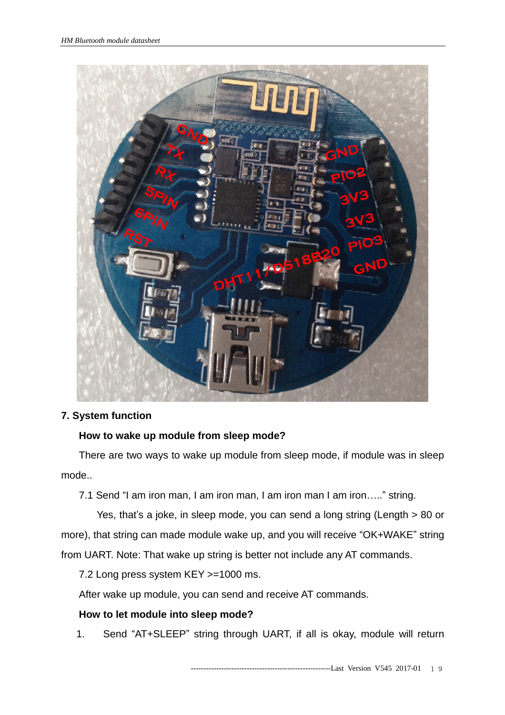

## **7. System function**

## **How to wake up module from sleep mode?**

There are two ways to wake up module from sleep mode, if module was in sleep mode..

7.1 Send "I am iron man, I am iron man, I am iron man I am iron….." string.

Yes, that's a joke, in sleep mode, you can send a long string (Length > 80 or more), that string can made module wake up, and you will receive "OK+WAKE" string from UART. Note: That wake up string is better not include any AT commands.

7.2 Long press system KEY >=1000 ms.

After wake up module, you can send and receive AT commands.

## **How to let module into sleep mode?**

1. Send "AT+SLEEP" string through UART, if all is okay, module will return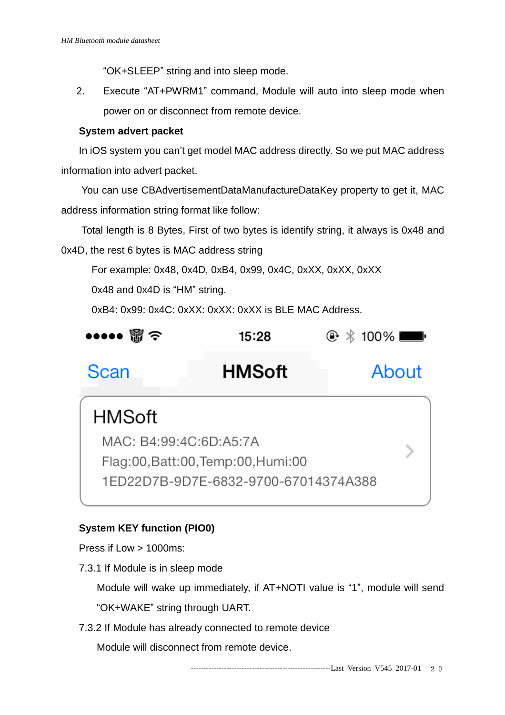"OK+SLEEP" string and into sleep mode.

2. Execute "AT+PWRM1" command, Module will auto into sleep mode when power on or disconnect from remote device.

## **System advert packet**

In iOS system you can't get model MAC address directly. So we put MAC address information into advert packet.

You can use CBAdvertisementDataManufactureDataKey property to get it, MAC address information string format like follow:

Total length is 8 Bytes, First of two bytes is identify string, it always is 0x48 and 0x4D, the rest 6 bytes is MAC address string

For example: 0x48, 0x4D, 0xB4, 0x99, 0x4C, 0xXX, 0xXX, 0xXX

0x48 and 0x4D is "HM" string.

0xB4: 0x99: 0x4C: 0xXX: 0xXX: 0xXX is BLE MAC Address.

| $\bullet \bullet \bullet \bullet \mathcal{B} \diamond$ | 15:28                                                                      | $\oplus$ * 100% |
|--------------------------------------------------------|----------------------------------------------------------------------------|-----------------|
| Scan                                                   | <b>HMSoft</b>                                                              | About           |
| <b>HMSoft</b><br>MAC: B4:99:4C:6D:A5:7A                |                                                                            |                 |
|                                                        | Flag:00, Batt:00, Temp:00, Humi:00<br>1ED22D7B-9D7E-6832-9700-67014374A388 |                 |
|                                                        |                                                                            |                 |

## **System KEY function (PIO0)**

Press if Low > 1000ms:

7.3.1 If Module is in sleep mode

Module will wake up immediately, if AT+NOTI value is "1", module will send "OK+WAKE" string through UART.

7.3.2 If Module has already connected to remote device

Module will disconnect from remote device.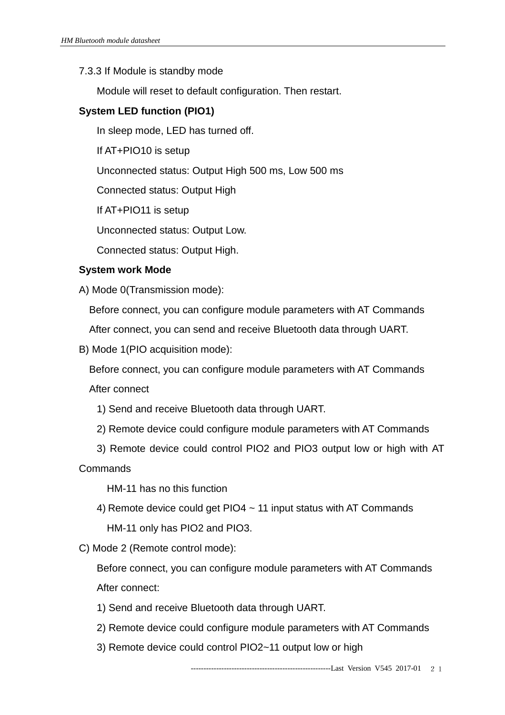#### 7.3.3 If Module is standby mode

Module will reset to default configuration. Then restart.

#### **System LED function (PIO1)**

In sleep mode, LED has turned off.

If AT+PIO10 is setup

Unconnected status: Output High 500 ms, Low 500 ms

Connected status: Output High

If AT+PIO11 is setup

Unconnected status: Output Low.

Connected status: Output High.

#### **System work Mode**

A) Mode 0(Transmission mode):

Before connect, you can configure module parameters with AT Commands

After connect, you can send and receive Bluetooth data through UART.

B) Mode 1(PIO acquisition mode):

Before connect, you can configure module parameters with AT Commands

After connect

- 1) Send and receive Bluetooth data through UART.
- 2) Remote device could configure module parameters with AT Commands
- 3) Remote device could control PIO2 and PIO3 output low or high with AT **Commands**

HM-11 has no this function

- 4) Remote device could get PIO4 ~ 11 input status with AT Commands HM-11 only has PIO2 and PIO3.
- C) Mode 2 (Remote control mode):

Before connect, you can configure module parameters with AT Commands After connect:

- 1) Send and receive Bluetooth data through UART.
- 2) Remote device could configure module parameters with AT Commands
- 3) Remote device could control PIO2~11 output low or high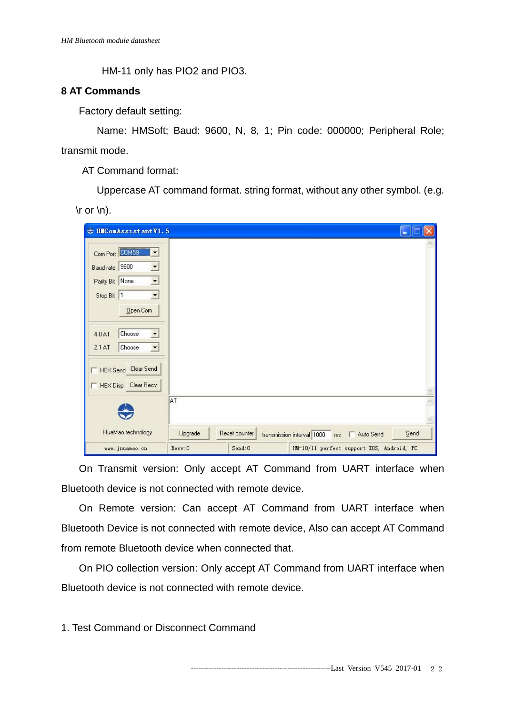HM-11 only has PIO2 and PIO3.

## **8 AT Commands**

Factory default setting:

 Name: HMSoft; Baud: 9600, N, 8, 1; Pin code: 000000; Peripheral Role; transmit mode.

AT Command format:

Uppercase AT command format. string format, without any other symbol. (e.g.  $\text{tr}$  or  $\ln$ ).

| HIComAssistantV1.5<br>$\Rightarrow$                                                                                                                                                                                                                           |         |               |                                               | H    |
|---------------------------------------------------------------------------------------------------------------------------------------------------------------------------------------------------------------------------------------------------------------|---------|---------------|-----------------------------------------------|------|
| Com Port <b>COMES</b><br>$\overline{\phantom{0}}$<br>Baud rate   9600<br>$\blacktriangledown$<br>Parity Bit None<br>$\overline{\phantom{a}}$<br>$\blacktriangledown$<br>Stop Bit  1<br>Open Com<br>Choose<br>4.0AT<br>▼<br>2.1 AT<br>Choose<br>$\blacksquare$ |         |               |                                               |      |
| HEX Send Clear Send<br>HEX Disp Clear Recv                                                                                                                                                                                                                    |         |               |                                               |      |
|                                                                                                                                                                                                                                                               | AT.     |               |                                               |      |
| HuaMao technology                                                                                                                                                                                                                                             | Upgrade | Reset counter | transmission interval 1000<br>Auto Send<br>ms | Send |
| www.jnuamao.cn                                                                                                                                                                                                                                                | Recv:0  | Send:0        | HM-10/11 perfect support IOS, Android, PC     |      |

On Transmit version: Only accept AT Command from UART interface when Bluetooth device is not connected with remote device.

On Remote version: Can accept AT Command from UART interface when Bluetooth Device is not connected with remote device, Also can accept AT Command from remote Bluetooth device when connected that.

On PIO collection version: Only accept AT Command from UART interface when Bluetooth device is not connected with remote device.

1. Test Command or Disconnect Command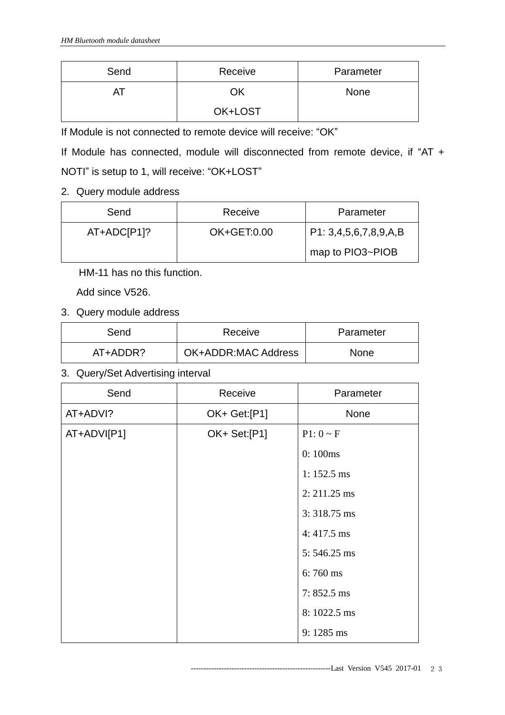| Send | Receive | Parameter   |
|------|---------|-------------|
|      | ΟK      | <b>None</b> |
|      | OK+LOST |             |

If Module is not connected to remote device will receive: "OK"

If Module has connected, module will disconnected from remote device, if "AT + NOTI" is setup to 1, will receive: "OK+LOST"

## 2. Query module address

| Send        | Receive     | Parameter             |
|-------------|-------------|-----------------------|
| AT+ADC[P1]? | OK+GET:0.00 | P1: 3,4,5,6,7,8,9,A,B |
|             |             | map to PIO3~PIOB      |

HM-11 has no this function.

Add since V526.

## 3. Query module address

| Send     | Receive                    | Parameter   |
|----------|----------------------------|-------------|
| AT+ADDR? | <b>OK+ADDR:MAC Address</b> | <b>None</b> |

## 3. Query/Set Advertising interval

| Send        | Receive      | Parameter      |
|-------------|--------------|----------------|
| AT+ADVI?    | OK+ Get:[P1] | None           |
| AT+ADVI[P1] | OK+ Set:[P1] | $P1:0-P$       |
|             |              | 0:100ms        |
|             |              | $1:152.5$ ms   |
|             |              | $2: 211.25$ ms |
|             |              | $3:318.75$ ms  |
|             |              | $4:417.5$ ms   |
|             |              | 5:546.25 ms    |
|             |              | 6:760 ms       |
|             |              | $7:852.5$ ms   |
|             |              | 8:1022.5 ms    |
|             |              | 9:1285 ms      |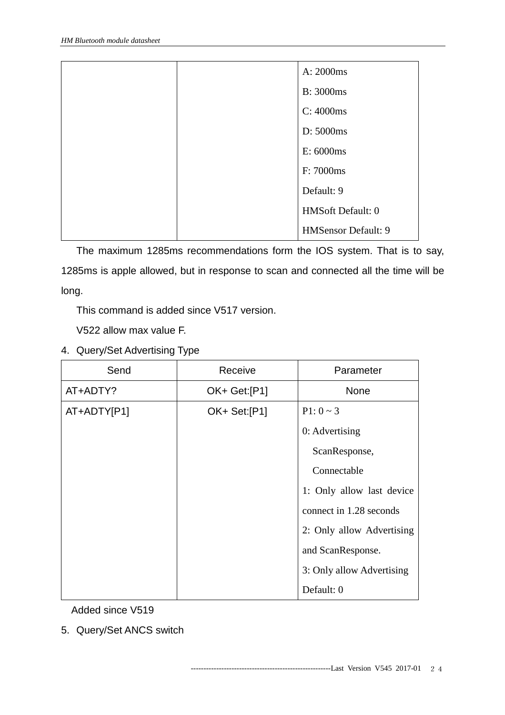| A: 2000ms                  |
|----------------------------|
| <b>B</b> : 3000ms          |
| C: 4000ms                  |
| D: 5000ms                  |
| E: 6000ms                  |
| F: 7000ms                  |
| Default: 9                 |
| <b>HMSoft Default: 0</b>   |
| <b>HMSensor Default: 9</b> |

The maximum 1285ms recommendations form the IOS system. That is to say, 1285ms is apple allowed, but in response to scan and connected all the time will be long.

This command is added since V517 version.

V522 allow max value F.

4. Query/Set Advertising Type

| Send        | Receive      | Parameter                 |
|-------------|--------------|---------------------------|
| AT+ADTY?    | OK+ Get:[P1] | <b>None</b>               |
| AT+ADTY[P1] | OK+ Set:[P1] | $P1: 0 \sim 3$            |
|             |              | 0: Advertising            |
|             |              | ScanResponse,             |
|             |              | Connectable               |
|             |              | 1: Only allow last device |
|             |              | connect in 1.28 seconds   |
|             |              | 2: Only allow Advertising |
|             |              | and ScanResponse.         |
|             |              | 3: Only allow Advertising |
|             |              | Default: 0                |

Added since V519

5. Query/Set ANCS switch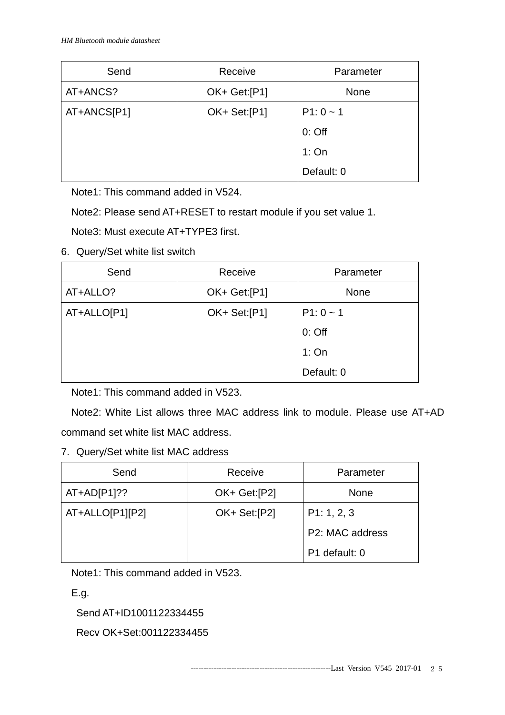| Send        | Receive      | Parameter   |
|-------------|--------------|-------------|
| AT+ANCS?    | OK+ Get:[P1] | None        |
| AT+ANCS[P1] | OK+ Set:[P1] | $P1: 0 - 1$ |
|             |              | $0:$ Off    |
|             |              | 1:On        |
|             |              | Default: 0  |

Note1: This command added in V524.

Note2: Please send AT+RESET to restart module if you set value 1.

Note3: Must execute AT+TYPE3 first.

6. Query/Set white list switch

| Send        | Receive      | Parameter   |
|-------------|--------------|-------------|
| AT+ALLO?    | OK+ Get:[P1] | <b>None</b> |
| AT+ALLO[P1] | OK+ Set:[P1] | $P1: 0 - 1$ |
|             |              | $0:$ Off    |
|             |              | 1:On        |
|             |              | Default: 0  |

Note1: This command added in V523.

Note2: White List allows three MAC address link to module. Please use AT+AD command set white list MAC address.

## 7. Query/Set white list MAC address

| Send            | Receive      | Parameter       |
|-----------------|--------------|-----------------|
| $AT+AD[P1]$ ?   | OK+ Get:[P2] | <b>None</b>     |
| AT+ALLO[P1][P2] | OK+ Set:[P2] | P1: 1, 2, 3     |
|                 |              | P2: MAC address |
|                 |              | P1 default: 0   |

Note1: This command added in V523.

E.g.

Send AT+ID1001122334455

Recv OK+Set:001122334455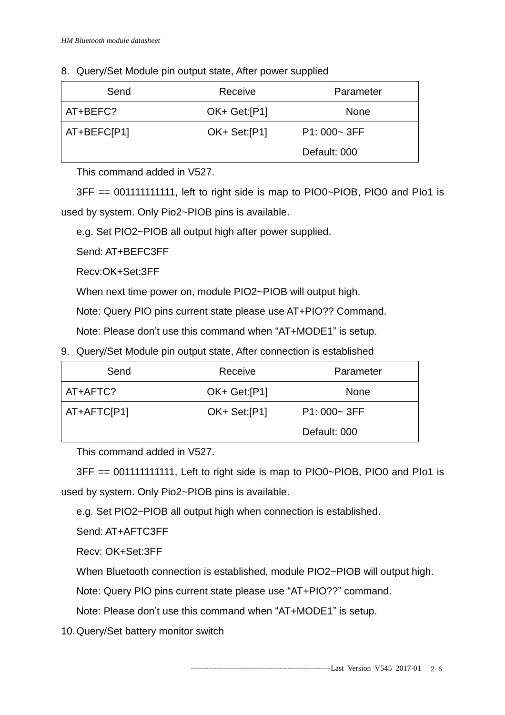|  | 8. Query/Set Module pin output state, After power supplied |  |
|--|------------------------------------------------------------|--|
|  |                                                            |  |

| Send        | Receive      | Parameter    |
|-------------|--------------|--------------|
| AT+BEFC?    | OK+ Get:[P1] | <b>None</b>  |
| AT+BEFC[P1] | OK+ Set:[P1] | P1: 000~3FF  |
|             |              | Default: 000 |

This command added in V527.

3FF == 001111111111, left to right side is map to PIO0~PIOB, PIO0 and PIo1 is used by system. Only Pio2~PIOB pins is available.

e.g. Set PIO2~PIOB all output high after power supplied.

Send: AT+BEFC3FF

Recv:OK+Set:3FF

When next time power on, module PIO2~PIOB will output high.

Note: Query PIO pins current state please use AT+PIO?? Command.

Note: Please don't use this command when "AT+MODE1" is setup.

9. Query/Set Module pin output state, After connection is established

| Send        | Receive      | Parameter      |
|-------------|--------------|----------------|
| AT+AFTC?    | OK+ Get:[P1] | <b>None</b>    |
| AT+AFTC[P1] | OK+ Set:[P1] | $P1:000 - 3FF$ |
|             |              | Default: 000   |

This command added in V527.

3FF == 001111111111, Left to right side is map to PIO0~PIOB, PIO0 and PIo1 is used by system. Only Pio2~PIOB pins is available.

e.g. Set PIO2~PIOB all output high when connection is established.

Send: AT+AFTC3FF

Recv: OK+Set:3FF

When Bluetooth connection is established, module PIO2~PIOB will output high.

Note: Query PIO pins current state please use "AT+PIO??" command.

Note: Please don't use this command when "AT+MODE1" is setup.

10.Query/Set battery monitor switch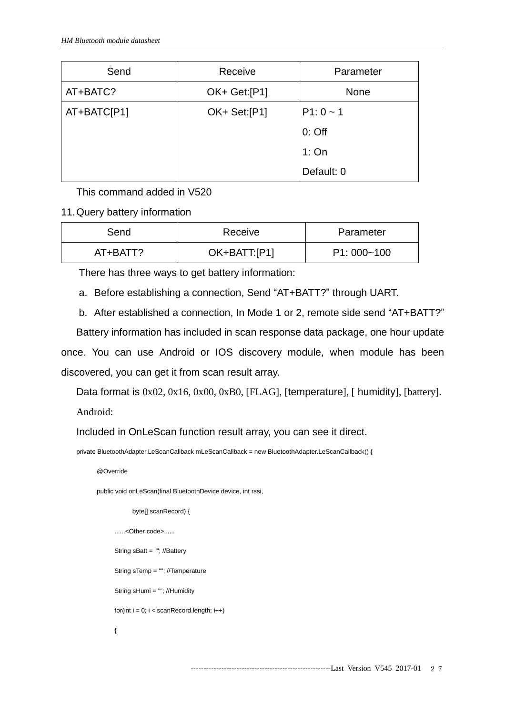| Send        | Receive      | Parameter   |
|-------------|--------------|-------------|
| AT+BATC?    | OK+ Get:[P1] | None        |
| AT+BATC[P1] | OK+ Set:[P1] | $P1: 0 - 1$ |
|             |              | $0:$ Off    |
|             |              | 1:On        |
|             |              | Default: 0  |

This command added in V520

#### 11.Query battery information

| Send     | Receive      | Parameter      |
|----------|--------------|----------------|
| AT+BATT? | OK+BATT:[P1] | $P1:000 - 100$ |

There has three ways to get battery information:

a. Before establishing a connection, Send "AT+BATT?" through UART.

b. After established a connection, In Mode 1 or 2, remote side send "AT+BATT?"

Battery information has included in scan response data package, one hour update

once. You can use Android or IOS discovery module, when module has been discovered, you can get it from scan result array.

Data format is  $0x02$ ,  $0x16$ ,  $0x00$ ,  $0xB0$ , [FLAG], [temperature], [ humidity], [battery]. Android:

Included in OnLeScan function result array, you can see it direct.

private BluetoothAdapter.LeScanCallback mLeScanCallback = new BluetoothAdapter.LeScanCallback() {

@Override

public void onLeScan(final BluetoothDevice device, int rssi,

byte[] scanRecord) {

......<Other code>......

String sBatt = ""; //Battery

String sTemp = ""; //Temperature

String sHumi = ""; //Humidity

for(int  $i = 0$ ;  $i <$  scanRecord.length;  $i++$ )

{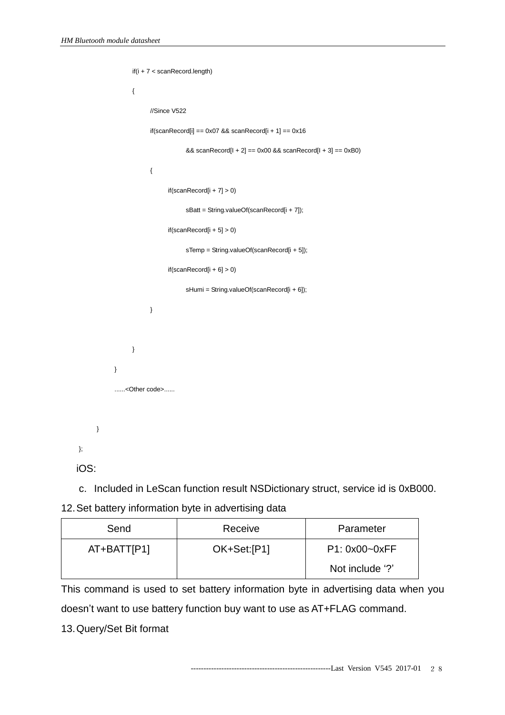```
 if(i + 7 < scanRecord.length) 
                { 
                     //Since V522 
                    if(scanRecord[i] == 0x07 && scanRecord[i + 1] == 0x16& scanRecord[1 + 2] == 0x00 & & scanRecord[1 + 3] == 0xB0)\{ if(scanRecord[i + 7] > 0) 
                               sBatt = String.valueOf(scanRecord[i + 7]);
                           if(scanRecord[i + 5] > 0) 
                               sTemp = String.valueOf(scanRecord[i + 5]);
                          if(scanRecord[i + 6] > 0)
                               sHumi = String.valueOf(scanRecord[i + 6]);
} 
} 
          } 
          ......<Other code>...... 
   }
```
c. Included in LeScan function result NSDictionary struct, service id is 0xB000.

12.Set battery information byte in advertising data

| Send        | Receive     | Parameter         |
|-------------|-------------|-------------------|
| AT+BATT[P1] | OK+Set:[P1] | $P1: 0x00 - 0xFF$ |
|             |             | Not include '?'   |

This command is used to set battery information byte in advertising data when you doesn't want to use battery function buy want to use as AT+FLAG command.

13.Query/Set Bit format

};

iOS: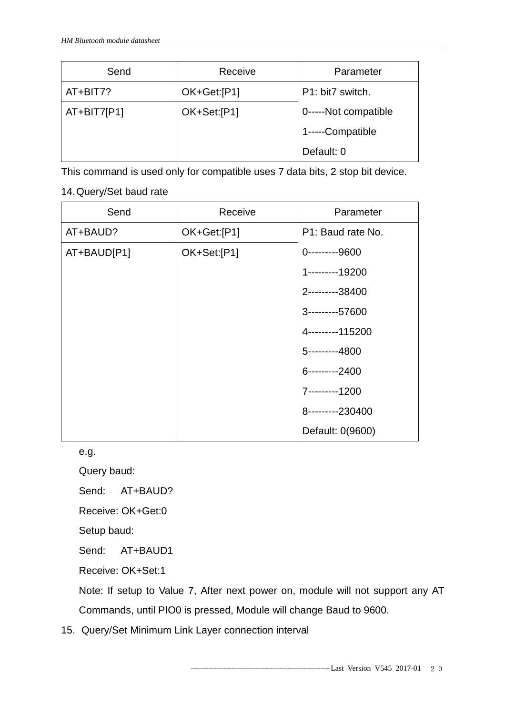| Send            | Receive     | Parameter            |
|-----------------|-------------|----------------------|
| $AT + BIT7?$    | OK+Get:[P1] | P1: bit7 switch.     |
| $AT + BIT7[P1]$ | OK+Set:[P1] | 0-----Not compatible |
|                 |             | 1-----Compatible     |
|                 |             | Default: 0           |

This command is used only for compatible uses 7 data bits, 2 stop bit device.

## 14.Query/Set baud rate

| Send        | Receive     | Parameter         |
|-------------|-------------|-------------------|
| AT+BAUD?    | OK+Get:[P1] | P1: Baud rate No. |
| AT+BAUD[P1] | OK+Set:[P1] | 0----------9600   |
|             |             | 1----------19200  |
|             |             | 2---------38400   |
|             |             | 3----------57600  |
|             |             | 4---------115200  |
|             |             | 5---------4800    |
|             |             | 6---------2400    |
|             |             | 7---------1200    |
|             |             | 8---------230400  |
|             |             | Default: 0(9600)  |

e.g.

Query baud:

Send: AT+BAUD?

Receive: OK+Get:0

Setup baud:

Send: AT+BAUD1

Receive: OK+Set:1

Note: If setup to Value 7, After next power on, module will not support any AT Commands, until PIO0 is pressed, Module will change Baud to 9600.

15. Query/Set Minimum Link Layer connection interval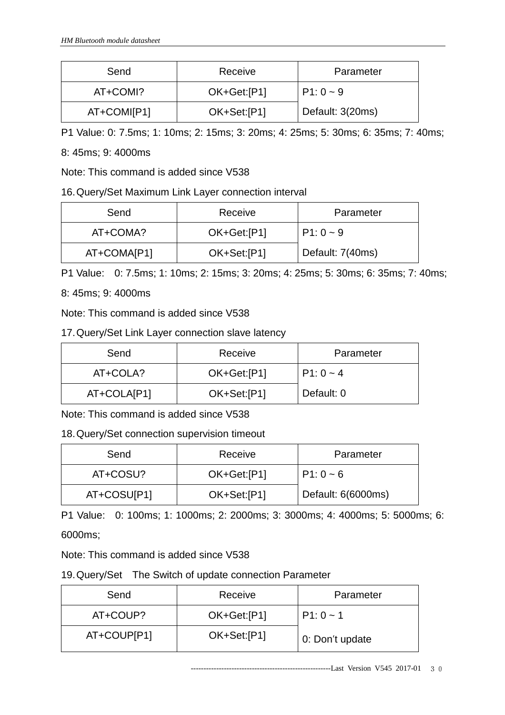| Send        | Receive     | Parameter        |
|-------------|-------------|------------------|
| AT+COMI?    | OK+Get:[P1] | $P1:0-9$         |
| AT+COMI[P1] | OK+Set:[P1] | Default: 3(20ms) |

P1 Value: 0: 7.5ms; 1: 10ms; 2: 15ms; 3: 20ms; 4: 25ms; 5: 30ms; 6: 35ms; 7: 40ms;

8: 45ms; 9: 4000ms

Note: This command is added since V538

## 16.Query/Set Maximum Link Layer connection interval

| Send        | Receive     | Parameter        |
|-------------|-------------|------------------|
| AT+COMA?    | OK+Get:[P1] | $P1:0-9$         |
| AT+COMA[P1] | OK+Set:[P1] | Default: 7(40ms) |

P1 Value: 0: 7.5ms; 1: 10ms; 2: 15ms; 3: 20ms; 4: 25ms; 5: 30ms; 6: 35ms; 7: 40ms;

8: 45ms; 9: 4000ms

Note: This command is added since V538

17.Query/Set Link Layer connection slave latency

| Send        | Receive     | Parameter  |
|-------------|-------------|------------|
| AT+COLA?    | OK+Get:[P1] | $P1:0-4$   |
| AT+COLA[P1] | OK+Set:[P1] | Default: 0 |

Note: This command is added since V538

18.Query/Set connection supervision timeout

| Send        | Receive     | Parameter          |
|-------------|-------------|--------------------|
| AT+COSU?    | OK+Get:[P1] | $P1:0-6$           |
| AT+COSU[P1] | OK+Set:[P1] | Default: 6(6000ms) |

P1 Value: 0: 100ms; 1: 1000ms; 2: 2000ms; 3: 3000ms; 4: 4000ms; 5: 5000ms; 6: 6000ms;

Note: This command is added since V538

19.Query/Set The Switch of update connection Parameter

| Send        | Receive     | Parameter       |
|-------------|-------------|-----------------|
| AT+COUP?    | OK+Get:[P1] | l P1: 0 ~ 1     |
| AT+COUP[P1] | OK+Set:[P1] | 0: Don't update |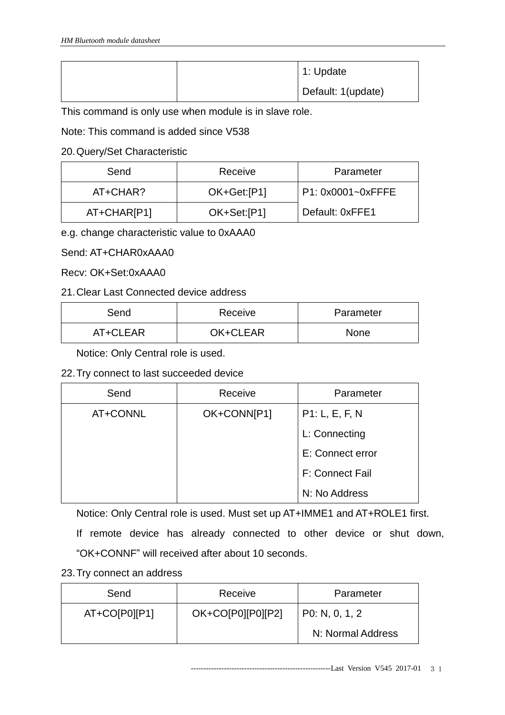|  | $\vert$ 1: Update  |
|--|--------------------|
|  | Default: 1(update) |

This command is only use when module is in slave role.

Note: This command is added since V538

20.Query/Set Characteristic

| Send        | Receive     | Parameter         |
|-------------|-------------|-------------------|
| AT+CHAR?    | OK+Get:[P1] | P1: 0x0001~0xFFFE |
| AT+CHAR[P1] | OK+Set:[P1] | Default: 0xFFE1   |

e.g. change characteristic value to 0xAAA0

Send: AT+CHAR0xAAA0

Recv: OK+Set:0xAAA0

## 21.Clear Last Connected device address

| Send     | Receive  | Parameter   |
|----------|----------|-------------|
| AT+CLEAR | OK+CLEAR | <b>None</b> |

Notice: Only Central role is used.

#### 22.Try connect to last succeeded device

| Send     | Receive     | Parameter        |
|----------|-------------|------------------|
| AT+CONNL | OK+CONN[P1] | P1: L, E, F, N   |
|          |             | L: Connecting    |
|          |             | E: Connect error |
|          |             | F: Connect Fail  |
|          |             | N: No Address    |

Notice: Only Central role is used. Must set up AT+IMME1 and AT+ROLE1 first.

If remote device has already connected to other device or shut down, "OK+CONNF" will received after about 10 seconds.

#### 23.Try connect an address

| Send          | Receive             | Parameter         |
|---------------|---------------------|-------------------|
| AT+CO[P0][P1] | $OK+CO[PO][PO][P2]$ | P0: N, 0, 1, 2    |
|               |                     | N: Normal Address |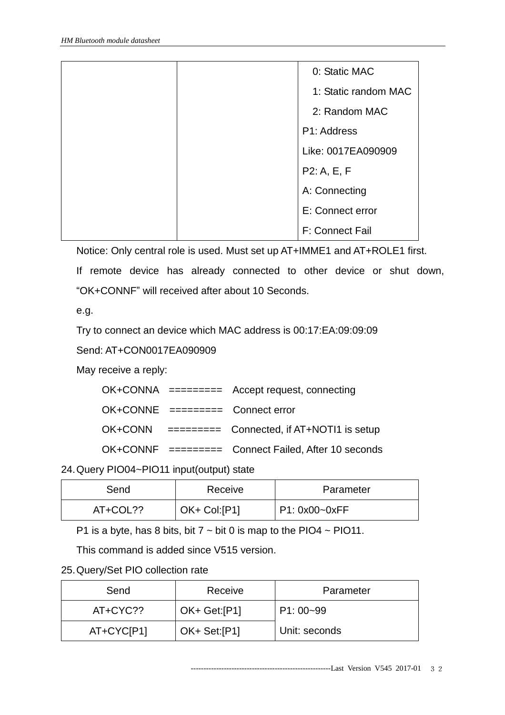|  | 0: Static MAC        |
|--|----------------------|
|  | 1: Static random MAC |
|  | 2: Random MAC        |
|  | P1: Address          |
|  | Like: 0017EA090909   |
|  | P2: A, E, F          |
|  | A: Connecting        |
|  | E: Connect error     |
|  | F: Connect Fail      |
|  |                      |

Notice: Only central role is used. Must set up AT+IMME1 and AT+ROLE1 first.

If remote device has already connected to other device or shut down, "OK+CONNF" will received after about 10 Seconds.

e.g.

Try to connect an device which MAC address is 00:17:EA:09:09:09

Send: AT+CON0017EA090909

May receive a reply:

| $OK+CONNA$ =========  |           | Accept request, connecting              |
|-----------------------|-----------|-----------------------------------------|
|                       |           | OK+CONNE ========== Connect error       |
| OK+CONN               | ========= | Connected, if AT+NOTI1 is setup         |
| $OK+CONNF$ ========== |           | <b>Connect Failed, After 10 seconds</b> |

24.Query PIO04~PIO11 input(output) state

| Send     | Receive      | Parameter     |
|----------|--------------|---------------|
| AT+COL?? | OK+ Col:[P1] | P1: 0x00~0xFF |

P1 is a byte, has 8 bits, bit  $7 \sim$  bit 0 is map to the PIO4  $\sim$  PIO11.

This command is added since V515 version.

| 25. Query/Set PIO collection rate |  |  |  |  |  |  |
|-----------------------------------|--|--|--|--|--|--|
|-----------------------------------|--|--|--|--|--|--|

| Send       | Receive      | Parameter     |
|------------|--------------|---------------|
| AT+CYC??   | OK+ Get:[P1] | $P1:00 - 99$  |
| AT+CYC[P1] | OK+ Set:[P1] | Unit: seconds |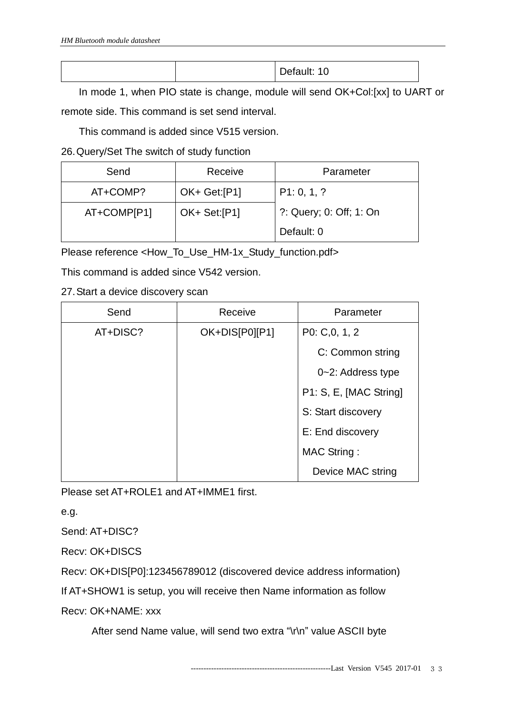|  | $\sim$<br>Default: 10 |
|--|-----------------------|
|--|-----------------------|

In mode 1, when PIO state is change, module will send OK+Col:[xx] to UART or remote side. This command is set send interval.

This command is added since V515 version.

26.Query/Set The switch of study function

| Send        | Receive      | Parameter               |
|-------------|--------------|-------------------------|
| AT+COMP?    | OK+ Get:[P1] | P1: 0, 1, ?             |
| AT+COMP[P1] | OK+ Set:[P1] | ?: Query; 0: Off; 1: On |
|             |              | Default: 0              |

Please reference <How\_To\_Use\_HM-1x\_Study\_function.pdf>

This command is added since V542 version.

27.Start a device discovery scan

| Send     | Receive        | Parameter              |
|----------|----------------|------------------------|
| AT+DISC? | OK+DIS[P0][P1] | P0: C,0, 1, 2          |
|          |                | C: Common string       |
|          |                | $0 - 2$ : Address type |
|          |                | P1: S, E, [MAC String] |
|          |                | S: Start discovery     |
|          |                | E: End discovery       |
|          |                | MAC String:            |
|          |                | Device MAC string      |

Please set AT+ROLE1 and AT+IMME1 first.

e.g.

Send: AT+DISC?

Recv: OK+DISCS

Recv: OK+DIS[P0]:123456789012 (discovered device address information)

If AT+SHOW1 is setup, you will receive then Name information as follow

Recv: OK+NAME: xxx

After send Name value, will send two extra "\r\n" value ASCII byte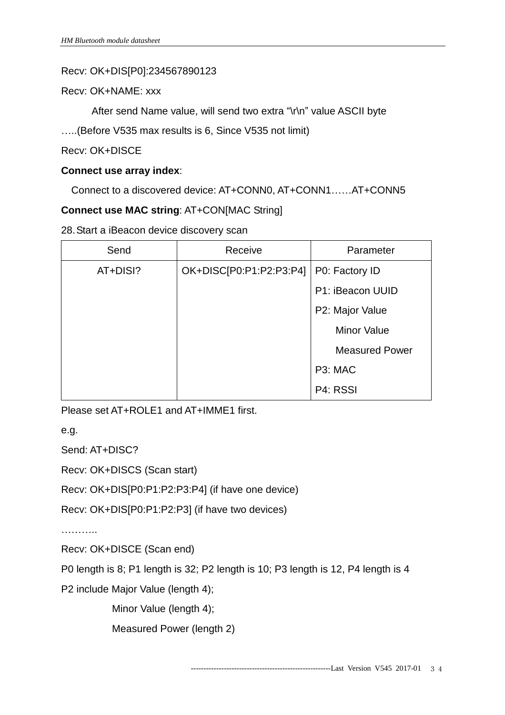#### Recv: OK+DIS[P0]:234567890123

#### Recv: OK+NAME: xxx

After send Name value, will send two extra "\r\n" value ASCII byte

…..(Before V535 max results is 6, Since V535 not limit)

Recv: OK+DISCE

#### **Connect use array index**:

Connect to a discovered device: AT+CONN0, AT+CONN1……AT+CONN5

#### **Connect use MAC string**: AT+CON[MAC String]

28.Start a iBeacon device discovery scan

| Send     | Receive                 | Parameter             |
|----------|-------------------------|-----------------------|
| AT+DISI? | OK+DISC[P0:P1:P2:P3:P4] | P0: Factory ID        |
|          |                         | P1: iBeacon UUID      |
|          |                         | P2: Major Value       |
|          |                         | <b>Minor Value</b>    |
|          |                         | <b>Measured Power</b> |
|          |                         | P3: MAC               |
|          |                         | P4: RSSI              |

Please set AT+ROLE1 and AT+IMME1 first.

e.g.

Send: AT+DISC?

Recv: OK+DISCS (Scan start)

Recv: OK+DIS[P0:P1:P2:P3:P4] (if have one device)

Recv: OK+DIS[P0:P1:P2:P3] (if have two devices)

………..

Recv: OK+DISCE (Scan end)

P0 length is 8; P1 length is 32; P2 length is 10; P3 length is 12, P4 length is 4

P2 include Major Value (length 4);

Minor Value (length 4);

Measured Power (length 2)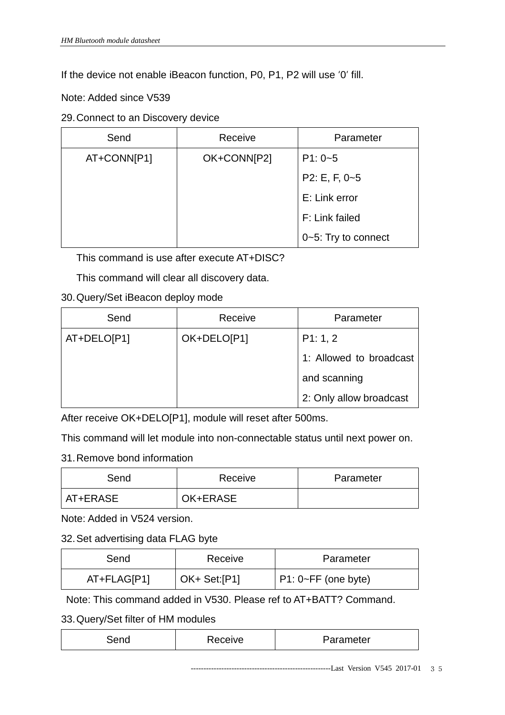If the device not enable iBeacon function, P0, P1, P2 will use '0' fill.

Note: Added since V539

29.Connect to an Discovery device

| Send        | Receive     | Parameter           |
|-------------|-------------|---------------------|
| AT+CONN[P1] | OK+CONN[P2] | $P1: 0-5$           |
|             |             | $P2: E, F, 0-5$     |
|             |             | E: Link error       |
|             |             | F: Link failed      |
|             |             | 0~5: Try to connect |

This command is use after execute AT+DISC?

This command will clear all discovery data.

## 30.Query/Set iBeacon deploy mode

| Send        | Receive     | Parameter               |
|-------------|-------------|-------------------------|
| AT+DELO[P1] | OK+DELO[P1] | P1: 1, 2                |
|             |             | 1: Allowed to broadcast |
|             |             | and scanning            |
|             |             | 2: Only allow broadcast |

After receive OK+DELO[P1], module will reset after 500ms.

This command will let module into non-connectable status until next power on.

#### 31.Remove bond information

| Send     | Receive  | Parameter |
|----------|----------|-----------|
| AT+ERASE | OK+ERASE |           |

Note: Added in V524 version.

32.Set advertising data FLAG byte

| Send        | Receive      | Parameter                  |
|-------------|--------------|----------------------------|
| AT+FLAG[P1] | OK+ Set:[P1] | $P1: 0 \sim FF$ (one byte) |

Note: This command added in V530. Please ref to AT+BATT? Command.

33.Query/Set filter of HM modules

| ırameter<br><b>AIIA</b><br>- - |
|--------------------------------|
|--------------------------------|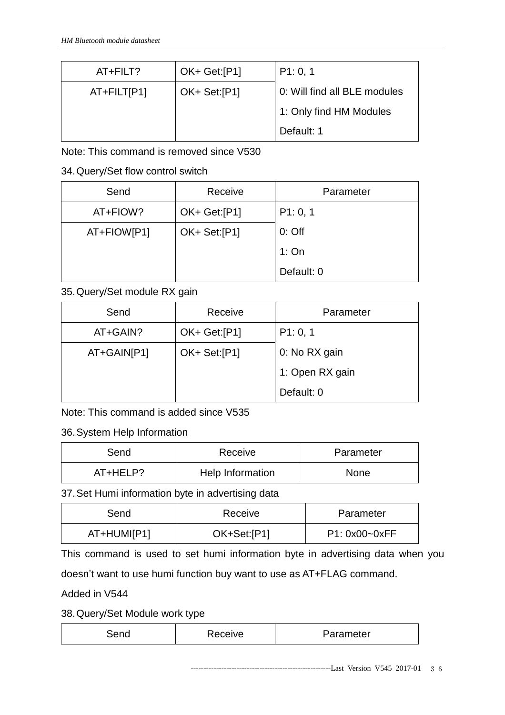| AT+FILT?       | OK+ Get:[P1] | P1:0,1                       |
|----------------|--------------|------------------------------|
| $AT + FILTIP1$ | OK+ Set:[P1] | 0: Will find all BLE modules |
|                |              | 1: Only find HM Modules      |
|                |              | Default: 1                   |

Note: This command is removed since V530

### 34.Query/Set flow control switch

| Send        | Receive      | Parameter  |
|-------------|--------------|------------|
| AT+FIOW?    | OK+ Get:[P1] | P1: 0, 1   |
| AT+FIOW[P1] | OK+ Set:[P1] | $0:$ Off   |
|             |              | 1:On       |
|             |              | Default: 0 |

## 35.Query/Set module RX gain

| Send        | Receive      | Parameter       |
|-------------|--------------|-----------------|
| AT+GAIN?    | OK+ Get:[P1] | P1: 0, 1        |
| AT+GAIN[P1] | OK+ Set:[P1] | 0: No RX gain   |
|             |              | 1: Open RX gain |
|             |              | Default: 0      |

Note: This command is added since V535

## 36.System Help Information

| Send     | Receive          | Parameter   |
|----------|------------------|-------------|
| AT+HELP? | Help Information | <b>None</b> |

37.Set Humi information byte in advertising data

| Send        | Receive     | Parameter     |
|-------------|-------------|---------------|
| AT+HUMI[P1] | OK+Set:[P1] | P1: 0x00~0xFF |

This command is used to set humi information byte in advertising data when you doesn't want to use humi function buy want to use as AT+FLAG command.

Added in V544

38.Query/Set Module work type

| ⊰enr | keceive | Parameter |
|------|---------|-----------|
|------|---------|-----------|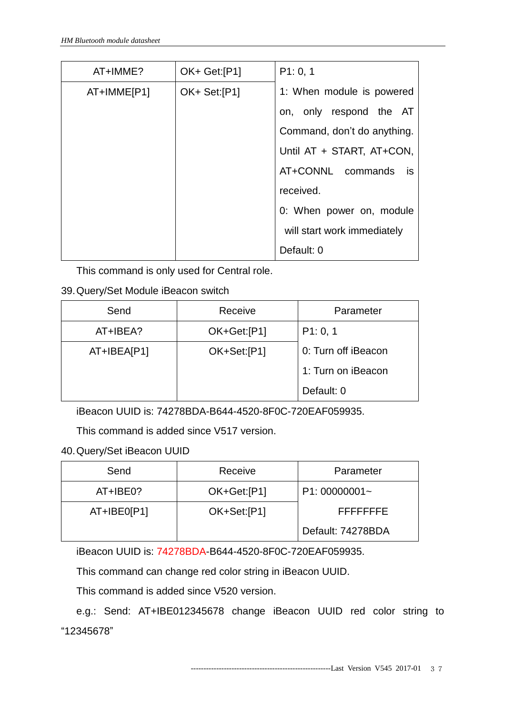| AT+IMME?    | OK+ Get:[P1] | P1: 0, 1                    |
|-------------|--------------|-----------------------------|
| AT+IMME[P1] | OK+ Set:[P1] | 1: When module is powered   |
|             |              | on, only respond the AT     |
|             |              | Command, don't do anything. |
|             |              | Until AT + START, AT+CON,   |
|             |              | AT+CONNL commands<br>is i   |
|             |              | received.                   |
|             |              | 0: When power on, module    |
|             |              | will start work immediately |
|             |              | Default: 0                  |

This command is only used for Central role.

## 39.Query/Set Module iBeacon switch

| Send        | Receive     | Parameter           |
|-------------|-------------|---------------------|
| AT+IBEA?    | OK+Get:[P1] | P1: 0, 1            |
| AT+IBEA[P1] | OK+Set:[P1] | 0: Turn off iBeacon |
|             |             | 1: Turn on iBeacon  |
|             |             | Default: 0          |

iBeacon UUID is: 74278BDA-B644-4520-8F0C-720EAF059935.

This command is added since V517 version.

## 40.Query/Set iBeacon UUID

| Send        | Receive     | Parameter         |
|-------------|-------------|-------------------|
| AT+IBE0?    | OK+Get:[P1] | $P1:00000001-$    |
| AT+IBE0[P1] | OK+Set:[P1] | FFFFFFFF          |
|             |             | Default: 74278BDA |

iBeacon UUID is: 74278BDA-B644-4520-8F0C-720EAF059935.

This command can change red color string in iBeacon UUID.

This command is added since V520 version.

e.g.: Send: AT+IBE012345678 change iBeacon UUID red color string to "12345678"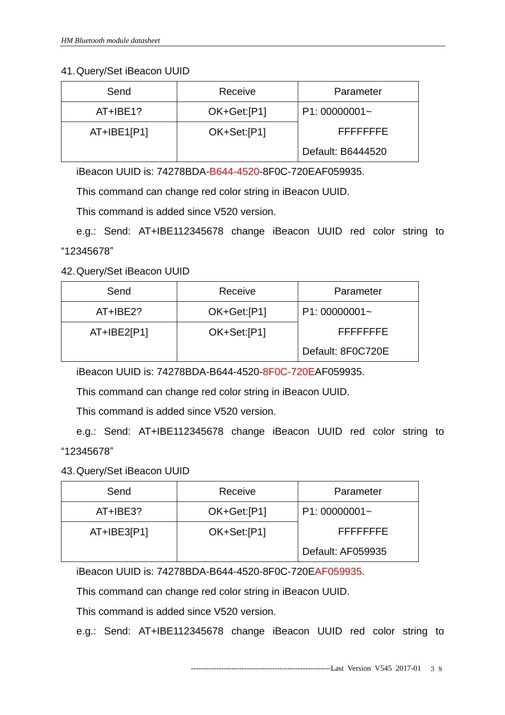## 41.Query/Set iBeacon UUID

| Send          | Receive     | Parameter         |
|---------------|-------------|-------------------|
| AT+IBE1?      | OK+Get:[P1] | $P1:00000001-$    |
| $AT+IBE1[P1]$ | OK+Set:[P1] | FFFFFFFF          |
|               |             | Default: B6444520 |

iBeacon UUID is: 74278BDA-B644-4520-8F0C-720EAF059935.

This command can change red color string in iBeacon UUID.

This command is added since V520 version.

e.g.: Send: AT+IBE112345678 change iBeacon UUID red color string to "12345678"

42.Query/Set iBeacon UUID

| Send          | Receive     | Parameter         |  |
|---------------|-------------|-------------------|--|
| $AT+IBE2?$    | OK+Get:[P1] | $P1:00000001-$    |  |
| $AT+IBE2[P1]$ | OK+Set:[P1] | FFFFFFFE          |  |
|               |             | Default: 8F0C720E |  |

iBeacon UUID is: 74278BDA-B644-4520-8F0C-720EAF059935.

This command can change red color string in iBeacon UUID.

This command is added since V520 version.

e.g.: Send: AT+IBE112345678 change iBeacon UUID red color string to "12345678"

## 43.Query/Set iBeacon UUID

| Send          | Receive     | Parameter         |
|---------------|-------------|-------------------|
| $AT+IBE3?$    | OK+Get:[P1] | $P1:00000001-$    |
| $AT+IBE3[P1]$ | OK+Set:[P1] | <b>FFFFFFFE</b>   |
|               |             | Default: AF059935 |

iBeacon UUID is: 74278BDA-B644-4520-8F0C-720EAF059935.

This command can change red color string in iBeacon UUID.

This command is added since V520 version.

e.g.: Send: AT+IBE112345678 change iBeacon UUID red color string to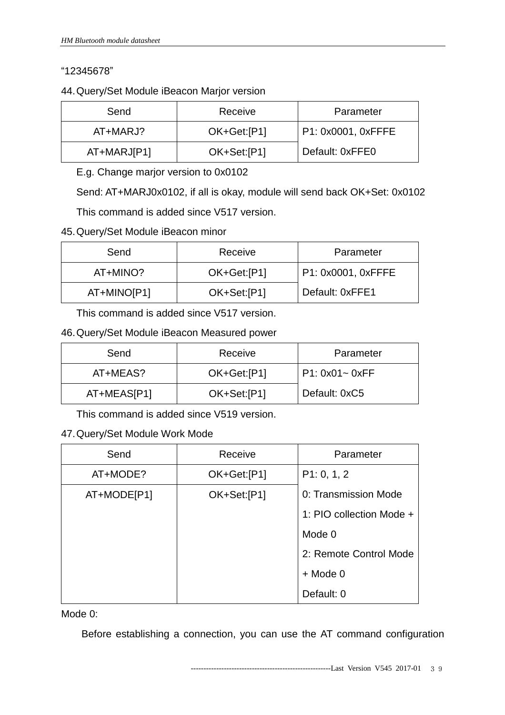## "12345678"

### 44.Query/Set Module iBeacon Marjor version

| Send        | Receive     | Parameter          |
|-------------|-------------|--------------------|
| AT+MARJ?    | OK+Get:[P1] | P1: 0x0001, 0xFFFE |
| AT+MARJ[P1] | OK+Set:[P1] | Default: 0xFFE0    |

E.g. Change marjor version to 0x0102

Send: AT+MARJ0x0102, if all is okay, module will send back OK+Set: 0x0102

This command is added since V517 version.

| 45. Query/Set Module iBeacon minor |  |  |  |  |  |  |
|------------------------------------|--|--|--|--|--|--|
|------------------------------------|--|--|--|--|--|--|

| Send        | Receive     | Parameter          |
|-------------|-------------|--------------------|
| AT+MINO?    | OK+Get:[P1] | P1: 0x0001, 0xFFFE |
| AT+MINO[P1] | OK+Set:[P1] | Default: 0xFFE1    |

This command is added since V517 version.

## 46.Query/Set Module iBeacon Measured power

| Send        | Receive     | Parameter         |
|-------------|-------------|-------------------|
| AT+MEAS?    | OK+Get:[P1] | $P1: 0x01 - 0xFF$ |
| AT+MEAS[P1] | OK+Set:[P1] | Default: 0xC5     |

This command is added since V519 version.

## 47.Query/Set Module Work Mode

| Send        | Receive     | Parameter                |
|-------------|-------------|--------------------------|
| AT+MODE?    | OK+Get:[P1] | P1: 0, 1, 2              |
| AT+MODE[P1] | OK+Set:[P1] | 0: Transmission Mode     |
|             |             | 1: PIO collection Mode + |
|             |             | Mode 0                   |
|             |             | 2: Remote Control Mode   |
|             |             | $+$ Mode 0               |
|             |             | Default: 0               |

Mode 0:

Before establishing a connection, you can use the AT command configuration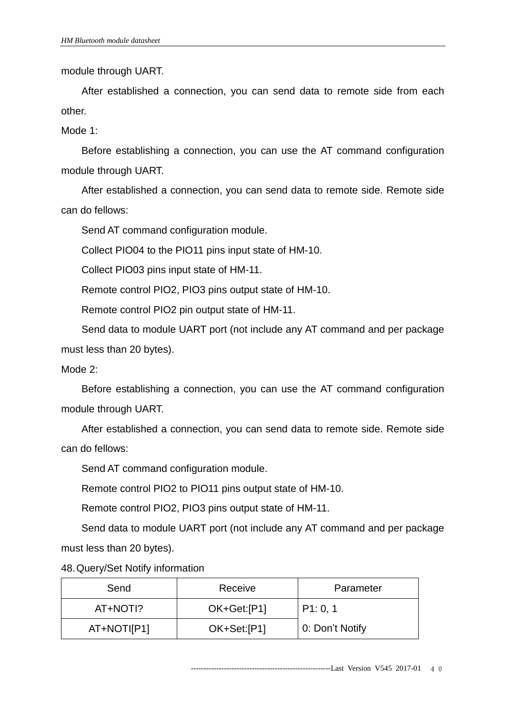module through UART.

After established a connection, you can send data to remote side from each other.

Mode 1:

Before establishing a connection, you can use the AT command configuration module through UART.

After established a connection, you can send data to remote side. Remote side can do fellows:

Send AT command configuration module.

Collect PIO04 to the PIO11 pins input state of HM-10.

Collect PIO03 pins input state of HM-11.

Remote control PIO2, PIO3 pins output state of HM-10.

Remote control PIO2 pin output state of HM-11.

Send data to module UART port (not include any AT command and per package must less than 20 bytes).

Mode 2:

Before establishing a connection, you can use the AT command configuration module through UART.

After established a connection, you can send data to remote side. Remote side can do fellows:

Send AT command configuration module.

Remote control PIO2 to PIO11 pins output state of HM-10.

Remote control PIO2, PIO3 pins output state of HM-11.

Send data to module UART port (not include any AT command and per package must less than 20 bytes).

#### 48.Query/Set Notify information

| Send        | Receive     | Parameter       |
|-------------|-------------|-----------------|
| AT+NOTI?    | OK+Get:[P1] | P1:0,1          |
| AT+NOTI[P1] | OK+Set:[P1] | 0: Don't Notify |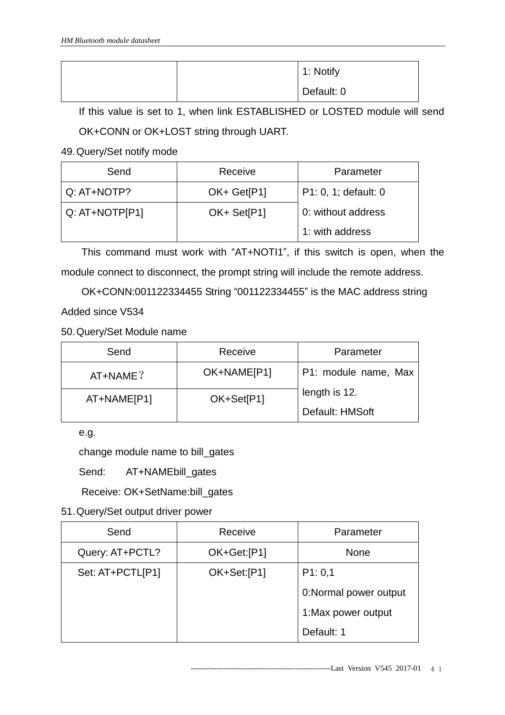|  | 1: Notify  |
|--|------------|
|  | Default: 0 |

If this value is set to 1, when link ESTABLISHED or LOSTED module will send

OK+CONN or OK+LOST string through UART.

49.Query/Set notify mode

| Send             | Receive     | Parameter            |  |
|------------------|-------------|----------------------|--|
| Q: AT+NOTP?      | OK+ Get[P1] | P1: 0, 1; default: 0 |  |
| $Q: AT+NOTP[P1]$ | OK+ Set[P1] | 0: without address   |  |
|                  |             | 1: with address      |  |

This command must work with "AT+NOTI1", if this switch is open, when the module connect to disconnect, the prompt string will include the remote address.

OK+CONN:001122334455 String "001122334455" is the MAC address string Added since V534

50.Query/Set Module name

| Send        | Receive     | Parameter                        |
|-------------|-------------|----------------------------------|
| AT+NAME?    | OK+NAME[P1] | P1: module name, Max             |
| AT+NAME[P1] | OK+Set[P1]  | length is 12.<br>Default: HMSoft |

e.g.

change module name to bill\_gates

Send: AT+NAMEbill\_gates

Receive: OK+SetName:bill\_gates

51.Query/Set output driver power

| Send             | Receive     | Parameter             |
|------------------|-------------|-----------------------|
| Query: AT+PCTL?  | OK+Get:[P1] | <b>None</b>           |
| Set: AT+PCTL[P1] | OK+Set:[P1] | P1: 0,1               |
|                  |             | 0:Normal power output |
|                  |             | 1: Max power output   |
|                  |             | Default: 1            |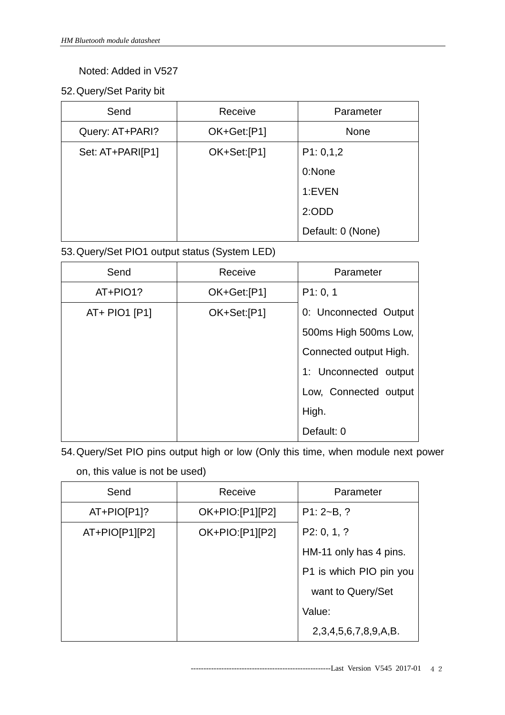## Noted: Added in V527

## 52.Query/Set Parity bit

| Send             | Receive     | Parameter         |
|------------------|-------------|-------------------|
| Query: AT+PARI?  | OK+Get:[P1] | <b>None</b>       |
| Set: AT+PARI[P1] | OK+Set:[P1] | P1: 0, 1, 2       |
|                  |             | 0:None            |
|                  |             | 1:EVEN            |
|                  |             | 2:ODD             |
|                  |             | Default: 0 (None) |

53.Query/Set PIO1 output status (System LED)

| Send          | Receive     | Parameter              |
|---------------|-------------|------------------------|
| AT+PIO1?      | OK+Get:[P1] | P1: 0, 1               |
| AT+ PIO1 [P1] | OK+Set:[P1] | 0: Unconnected Output  |
|               |             | 500ms High 500ms Low,  |
|               |             | Connected output High. |
|               |             | 1: Unconnected output  |
|               |             | Low, Connected output  |
|               |             | High.                  |
|               |             | Default: 0             |

54.Query/Set PIO pins output high or low (Only this time, when module next power

## on, this value is not be used)

| Send             | Receive         | Parameter               |
|------------------|-----------------|-------------------------|
| AT+PIO[P1]?      | OK+PIO:[P1][P2] | $P1: 2 - B, ?$          |
| $AT+PIO[P1][P2]$ | OK+PIO:[P1][P2] | P2: 0, 1, ?             |
|                  |                 | HM-11 only has 4 pins.  |
|                  |                 | P1 is which PIO pin you |
|                  |                 | want to Query/Set       |
|                  |                 | Value:                  |
|                  |                 | 2,3,4,5,6,7,8,9,A,B.    |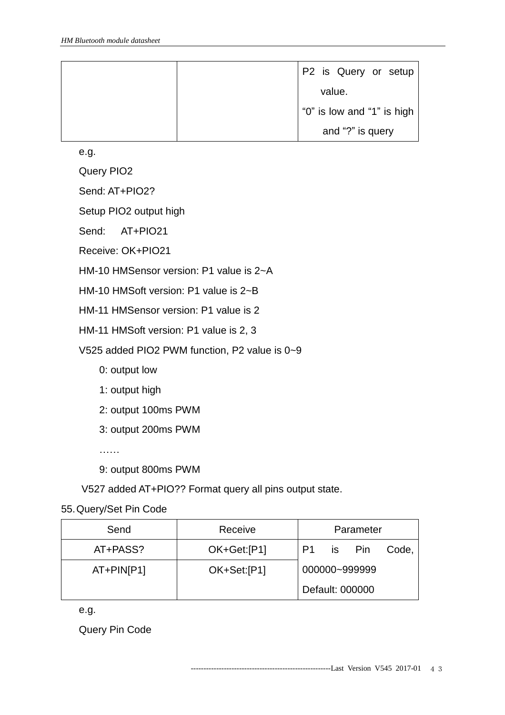| P2 is Query or setup       |
|----------------------------|
| value.                     |
| "0" is low and "1" is high |
| and "?" is query           |

e.g.

Query PIO2

Send: AT+PIO2?

Setup PIO2 output high

Send: AT+PIO21

Receive: OK+PIO21

HM-10 HMSensor version: P1 value is 2~A

HM-10 HMSoft version: P1 value is 2~B

HM-11 HMSensor version: P1 value is 2

HM-11 HMSoft version: P1 value is 2, 3

V525 added PIO2 PWM function, P2 value is 0~9

0: output low

1: output high

2: output 100ms PWM

3: output 200ms PWM

……

9: output 800ms PWM

V527 added AT+PIO?? Format query all pins output state.

55.Query/Set Pin Code

| Send         | Receive     |                | Parameter       |       |
|--------------|-------------|----------------|-----------------|-------|
| AT+PASS?     | OK+Get:[P1] | P <sub>1</sub> | is Pin          | Code. |
| $AT+PIN[P1]$ | OK+Set:[P1] |                | 000000~999999   |       |
|              |             |                | Default: 000000 |       |

e.g.

Query Pin Code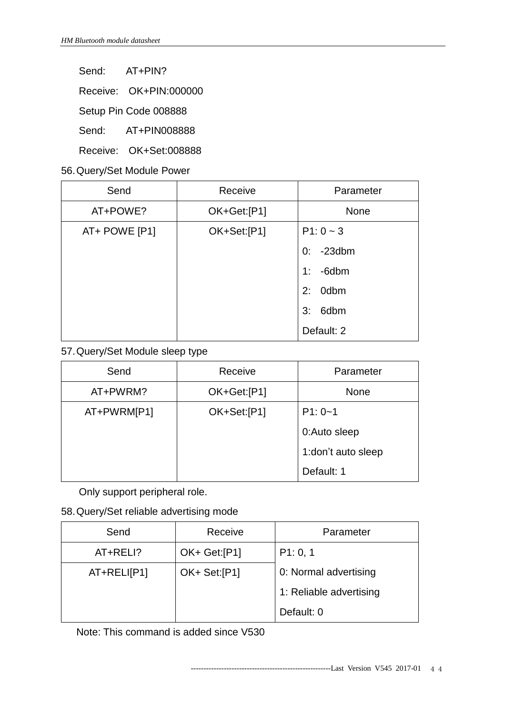Send: AT+PIN?

Receive: OK+PIN:000000

Setup Pin Code 008888

Send: AT+PIN008888

Receive: OK+Set:008888

## 56.Query/Set Module Power

| Send          | Receive     | Parameter       |
|---------------|-------------|-----------------|
| AT+POWE?      | OK+Get:[P1] | <b>None</b>     |
| AT+ POWE [P1] | OK+Set:[P1] | $P1: 0 - 3$     |
|               |             | $-23$ dbm<br>0: |
|               |             | -6dbm<br>1:     |
|               |             | $2:0$ dbm       |
|               |             | 6dbm<br>3:      |
|               |             | Default: 2      |

## 57.Query/Set Module sleep type

| Send        | Receive     | Parameter          |
|-------------|-------------|--------------------|
| AT+PWRM?    | OK+Get:[P1] | <b>None</b>        |
| AT+PWRM[P1] | OK+Set:[P1] | $P1: 0 - 1$        |
|             |             | 0:Auto sleep       |
|             |             | 1:don't auto sleep |
|             |             | Default: 1         |

Only support peripheral role.

58.Query/Set reliable advertising mode

| Send        | Receive      | Parameter               |
|-------------|--------------|-------------------------|
| AT+RELI?    | OK+ Get:[P1] | P1: 0, 1                |
| AT+RELI[P1] | OK+ Set:[P1] | 0: Normal advertising   |
|             |              | 1: Reliable advertising |
|             |              | Default: 0              |

Note: This command is added since V530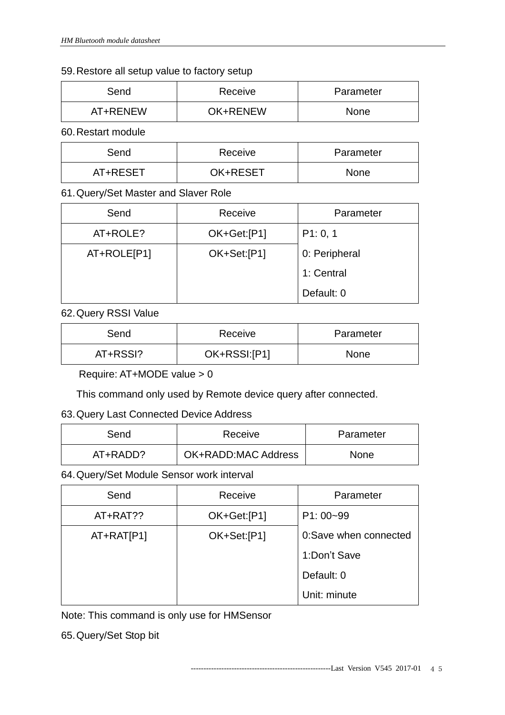## 59.Restore all setup value to factory setup

| Send     | Receive  | Parameter   |
|----------|----------|-------------|
| AT+RENEW | OK+RENEW | <b>None</b> |

60.Restart module

| Send     | Receive  | Parameter   |
|----------|----------|-------------|
| AT+RESET | OK+RESET | <b>None</b> |

61.Query/Set Master and Slaver Role

| Send        | Receive     | Parameter     |  |
|-------------|-------------|---------------|--|
| AT+ROLE?    | OK+Get:[P1] | P1: 0, 1      |  |
| AT+ROLE[P1] | OK+Set:[P1] | 0: Peripheral |  |
|             |             | 1: Central    |  |
|             |             | Default: 0    |  |

62.Query RSSI Value

| Send     | Receive      | Parameter   |
|----------|--------------|-------------|
| AT+RSSI? | OK+RSSI:[P1] | <b>None</b> |

Require: AT+MODE value > 0

This command only used by Remote device query after connected.

## 63.Query Last Connected Device Address

| Send     | Receive             | Parameter |
|----------|---------------------|-----------|
| AT+RADD? | OK+RADD:MAC Address | None      |

64.Query/Set Module Sensor work interval

| Send       | Receive     | Parameter             |
|------------|-------------|-----------------------|
| AT+RAT??   | OK+Get:[P1] | $P1:00-99$            |
| AT+RAT[P1] | OK+Set:[P1] | 0:Save when connected |
|            |             | 1:Don't Save          |
|            |             | Default: 0            |
|            |             | Unit: minute          |

Note: This command is only use for HMSensor

65.Query/Set Stop bit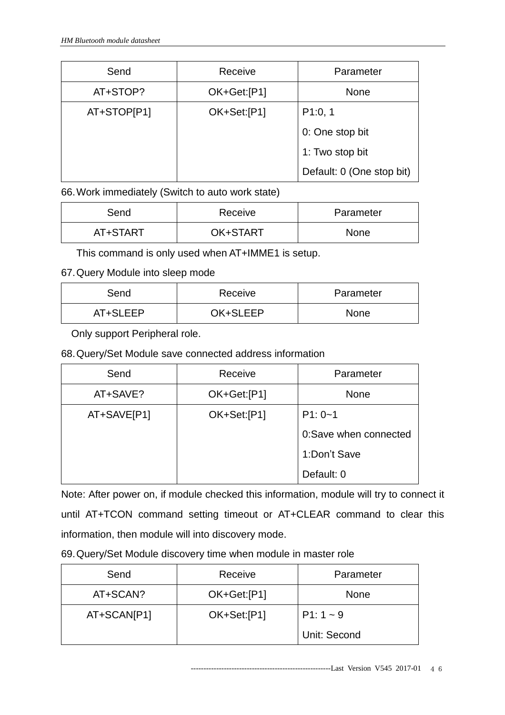| Send        | Receive     | Parameter                 |
|-------------|-------------|---------------------------|
| AT+STOP?    | OK+Get:[P1] | <b>None</b>               |
| AT+STOP[P1] | OK+Set:[P1] | P1:0, 1                   |
|             |             | 0: One stop bit           |
|             |             | 1: Two stop bit           |
|             |             | Default: 0 (One stop bit) |

66.Work immediately (Switch to auto work state)

| Send     | Receive  | Parameter   |
|----------|----------|-------------|
| AT+START | OK+START | <b>None</b> |

This command is only used when AT+IMME1 is setup.

#### 67.Query Module into sleep mode

| Send     | Receive  | Parameter |
|----------|----------|-----------|
| AT+SLEEP | OK+SLEEP | None      |

Only support Peripheral role.

68.Query/Set Module save connected address information

| Send        | Receive     | Parameter             |
|-------------|-------------|-----------------------|
| AT+SAVE?    | OK+Get:[P1] | <b>None</b>           |
| AT+SAVE[P1] | OK+Set:[P1] | $P1: 0 - 1$           |
|             |             | 0:Save when connected |
|             |             | 1:Don't Save          |
|             |             | Default: 0            |

Note: After power on, if module checked this information, module will try to connect it until AT+TCON command setting timeout or AT+CLEAR command to clear this information, then module will into discovery mode.

| 69. Query/Set Module discovery time when module in master role |  |  |
|----------------------------------------------------------------|--|--|
|----------------------------------------------------------------|--|--|

| Send        | Receive     | Parameter    |
|-------------|-------------|--------------|
| AT+SCAN?    | OK+Get:[P1] | <b>None</b>  |
| AT+SCAN[P1] | OK+Set:[P1] | $P1:1 - 9$   |
|             |             | Unit: Second |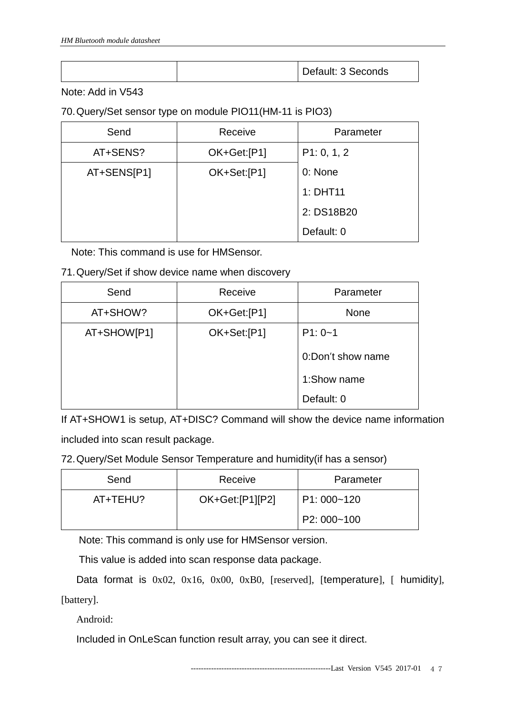|  | Default: 3 Seconds |
|--|--------------------|

## Note: Add in V543

### 70.Query/Set sensor type on module PIO11(HM-11 is PIO3)

| Send        | Receive     | Parameter   |
|-------------|-------------|-------------|
| AT+SENS?    | OK+Get:[P1] | P1: 0, 1, 2 |
| AT+SENS[P1] | OK+Set:[P1] | 0: None     |
|             |             | 1: DHT11    |
|             |             | 2: DS18B20  |
|             |             | Default: 0  |

Note: This command is use for HMSensor.

#### 71.Query/Set if show device name when discovery

| Send        | Receive     | Parameter         |
|-------------|-------------|-------------------|
| AT+SHOW?    | OK+Get:[P1] | <b>None</b>       |
| AT+SHOW[P1] | OK+Set:[P1] | $P1: 0 - 1$       |
|             |             | 0:Don't show name |
|             |             | 1:Show name       |
|             |             | Default: 0        |

If AT+SHOW1 is setup, AT+DISC? Command will show the device name information included into scan result package.

72.Query/Set Module Sensor Temperature and humidity(if has a sensor)

| Send     | Receive         | Parameter   |
|----------|-----------------|-------------|
| AT+TEHU? | OK+Get:[P1][P2] | P1: 000~120 |
|          |                 | P2: 000~100 |

Note: This command is only use for HMSensor version.

This value is added into scan response data package.

Data format is  $0x02$ ,  $0x16$ ,  $0x00$ ,  $0xB0$ , [reserved], [temperature], [ humidity], [battery].

Android:

Included in OnLeScan function result array, you can see it direct.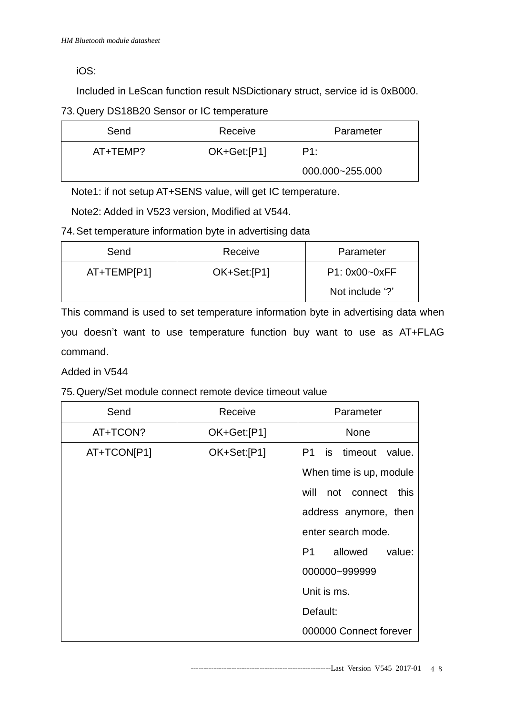iOS:

Included in LeScan function result NSDictionary struct, service id is 0xB000.

## 73.Query DS18B20 Sensor or IC temperature

| Send     | Receive     | Parameter       |
|----------|-------------|-----------------|
| AT+TEMP? | OK+Get:[P1] | P1:             |
|          |             | 000.000~255.000 |

Note1: if not setup AT+SENS value, will get IC temperature.

Note2: Added in V523 version, Modified at V544.

74.Set temperature information byte in advertising data

| Send        | Receive     | Parameter       |
|-------------|-------------|-----------------|
| AT+TEMP[P1] | OK+Set:[P1] | P1: 0x00~0xFF   |
|             |             | Not include '?' |

This command is used to set temperature information byte in advertising data when you doesn't want to use temperature function buy want to use as AT+FLAG command.

Added in V544

## 75.Query/Set module connect remote device timeout value

| Send        | Receive     | Parameter                                 |
|-------------|-------------|-------------------------------------------|
| AT+TCON?    | OK+Get:[P1] | <b>None</b>                               |
| AT+TCON[P1] | OK+Set:[P1] | P <sub>1</sub><br>is<br>timeout<br>value. |
|             |             | When time is up, module                   |
|             |             | will<br>not connect<br>this               |
|             |             | address anymore, then                     |
|             |             | enter search mode.                        |
|             |             | allowed<br>P <sub>1</sub><br>value:       |
|             |             | 000000~999999                             |
|             |             | Unit is ms.                               |
|             |             | Default:                                  |
|             |             | 000000 Connect forever                    |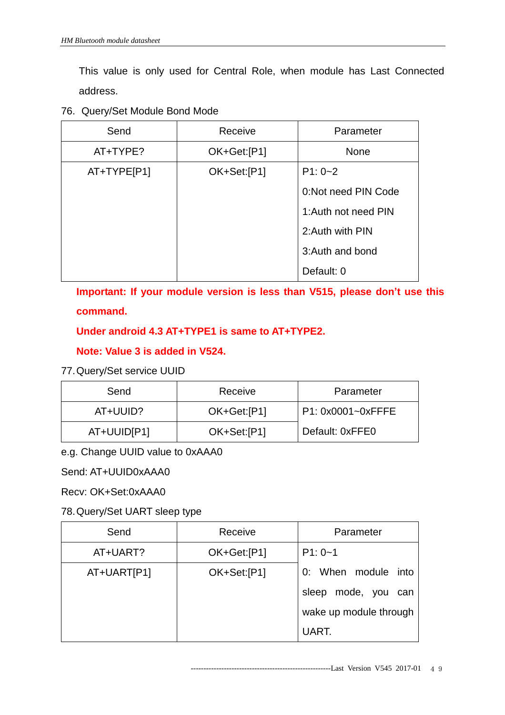This value is only used for Central Role, when module has Last Connected address.

76. Query/Set Module Bond Mode

| Send        | Receive     | Parameter            |
|-------------|-------------|----------------------|
| AT+TYPE?    | OK+Get:[P1] | <b>None</b>          |
| AT+TYPE[P1] | OK+Set:[P1] | $P1: 0 - 2$          |
|             |             | 0:Not need PIN Code  |
|             |             | 1: Auth not need PIN |
|             |             | 2: Auth with PIN     |
|             |             | 3: Auth and bond     |
|             |             | Default: 0           |

**Important: If your module version is less than V515, please don't use this command.** 

## **Under android 4.3 AT+TYPE1 is same to AT+TYPE2.**

**Note: Value 3 is added in V524.**

## 77.Query/Set service UUID

| Send        | Receive     | Parameter         |
|-------------|-------------|-------------------|
| AT+UUID?    | OK+Get:[P1] | P1: 0x0001~0xFFFE |
| AT+UUID[P1] | OK+Set:[P1] | Default: 0xFFE0   |

e.g. Change UUID value to 0xAAA0

Send: AT+UUID0xAAA0

Recv: OK+Set:0xAAA0

78.Query/Set UART sleep type

| Send        | Receive     | Parameter                 |
|-------------|-------------|---------------------------|
| AT+UART?    | OK+Get:[P1] | $P1: 0 - 1$               |
| AT+UART[P1] | OK+Set:[P1] | 0: When module into       |
|             |             | mode, you<br>sleep<br>can |
|             |             | wake up module through    |
|             |             | UART.                     |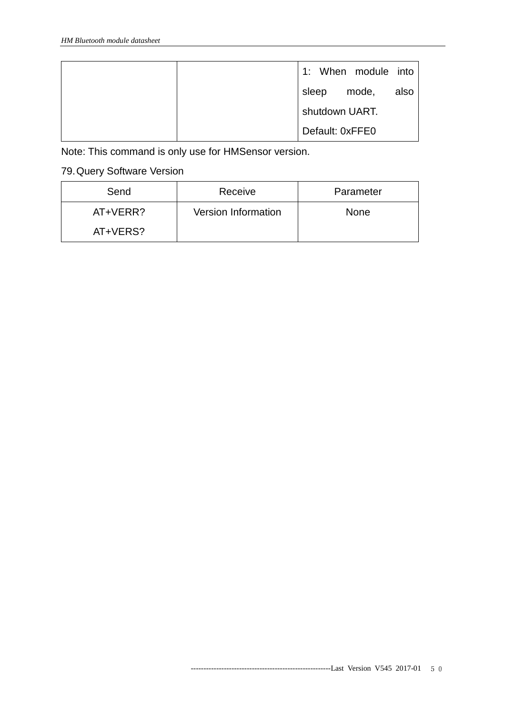| 1: When module into |      |
|---------------------|------|
| mode,<br>sleep      | also |
| shutdown UART.      |      |
| Default: 0xFFE0     |      |

Note: This command is only use for HMSensor version.

## 79.Query Software Version

| Send     | Receive                    | Parameter   |
|----------|----------------------------|-------------|
| AT+VERR? | <b>Version Information</b> | <b>None</b> |
| AT+VERS? |                            |             |